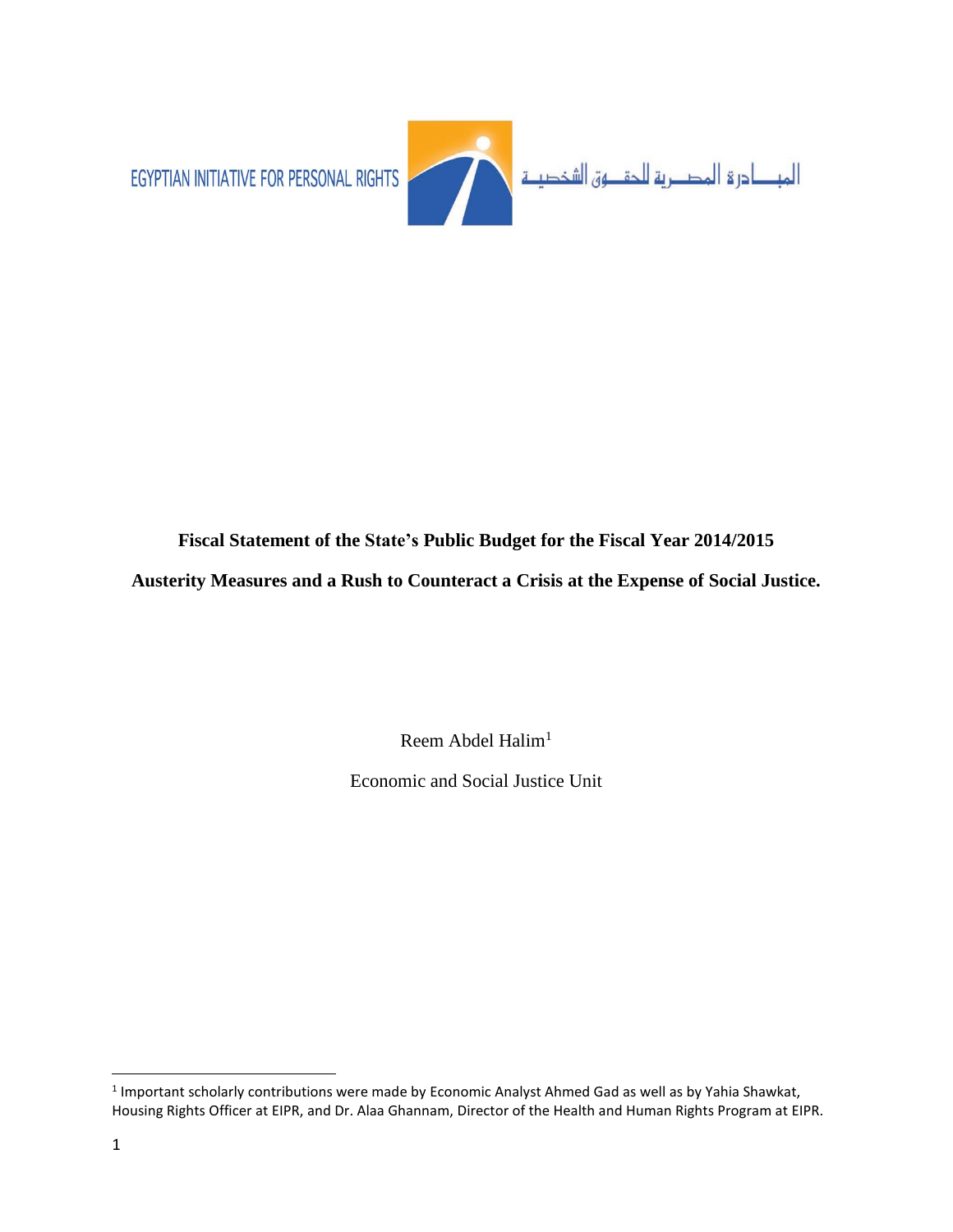

# **Fiscal Statement of the State's Public Budget for the Fiscal Year 2014/2015**

**Austerity Measures and a Rush to Counteract a Crisis at the Expense of Social Justice.**

Reem Abdel Halim<sup>1</sup>

Economic and Social Justice Unit

l <sup>1</sup> Important scholarly contributions were made by Economic Analyst Ahmed Gad as well as by Yahia Shawkat, Housing Rights Officer at EIPR, and Dr. Alaa Ghannam, Director of the Health and Human Rights Program at EIPR.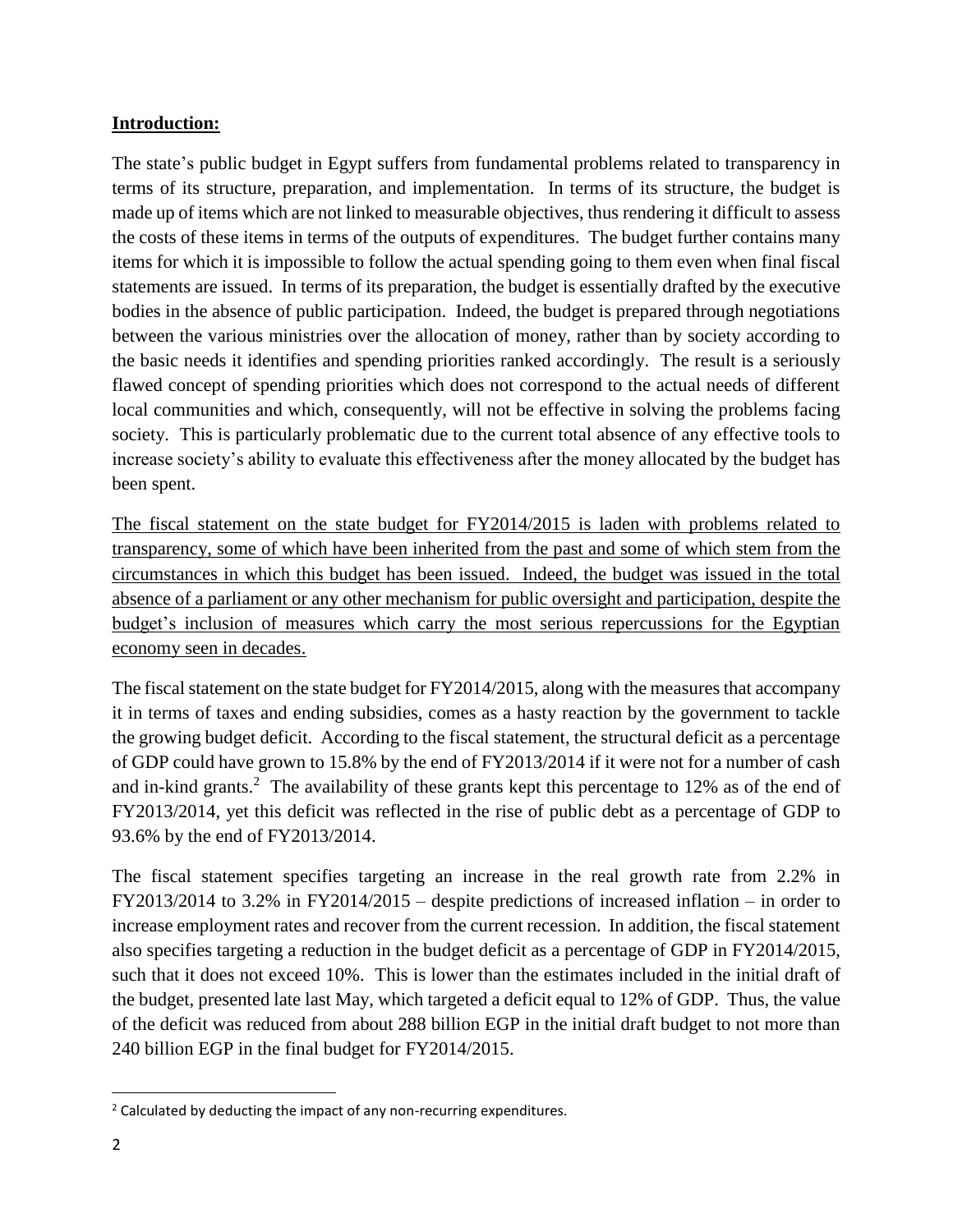### **Introduction:**

The state's public budget in Egypt suffers from fundamental problems related to transparency in terms of its structure, preparation, and implementation. In terms of its structure, the budget is made up of items which are not linked to measurable objectives, thus rendering it difficult to assess the costs of these items in terms of the outputs of expenditures. The budget further contains many items for which it is impossible to follow the actual spending going to them even when final fiscal statements are issued. In terms of its preparation, the budget is essentially drafted by the executive bodies in the absence of public participation. Indeed, the budget is prepared through negotiations between the various ministries over the allocation of money, rather than by society according to the basic needs it identifies and spending priorities ranked accordingly. The result is a seriously flawed concept of spending priorities which does not correspond to the actual needs of different local communities and which, consequently, will not be effective in solving the problems facing society. This is particularly problematic due to the current total absence of any effective tools to increase society's ability to evaluate this effectiveness after the money allocated by the budget has been spent.

The fiscal statement on the state budget for FY2014/2015 is laden with problems related to transparency, some of which have been inherited from the past and some of which stem from the circumstances in which this budget has been issued. Indeed, the budget was issued in the total absence of a parliament or any other mechanism for public oversight and participation, despite the budget's inclusion of measures which carry the most serious repercussions for the Egyptian economy seen in decades.

The fiscal statement on the state budget for FY2014/2015, along with the measures that accompany it in terms of taxes and ending subsidies, comes as a hasty reaction by the government to tackle the growing budget deficit. According to the fiscal statement, the structural deficit as a percentage of GDP could have grown to 15.8% by the end of FY2013/2014 if it were not for a number of cash and in-kind grants.<sup>2</sup> The availability of these grants kept this percentage to 12% as of the end of FY2013/2014, yet this deficit was reflected in the rise of public debt as a percentage of GDP to 93.6% by the end of FY2013/2014.

The fiscal statement specifies targeting an increase in the real growth rate from 2.2% in FY2013/2014 to 3.2% in FY2014/2015 – despite predictions of increased inflation – in order to increase employment rates and recover from the current recession. In addition, the fiscal statement also specifies targeting a reduction in the budget deficit as a percentage of GDP in FY2014/2015, such that it does not exceed 10%. This is lower than the estimates included in the initial draft of the budget, presented late last May, which targeted a deficit equal to 12% of GDP. Thus, the value of the deficit was reduced from about 288 billion EGP in the initial draft budget to not more than 240 billion EGP in the final budget for FY2014/2015.

 $\overline{\phantom{a}}$ <sup>2</sup> Calculated by deducting the impact of any non-recurring expenditures.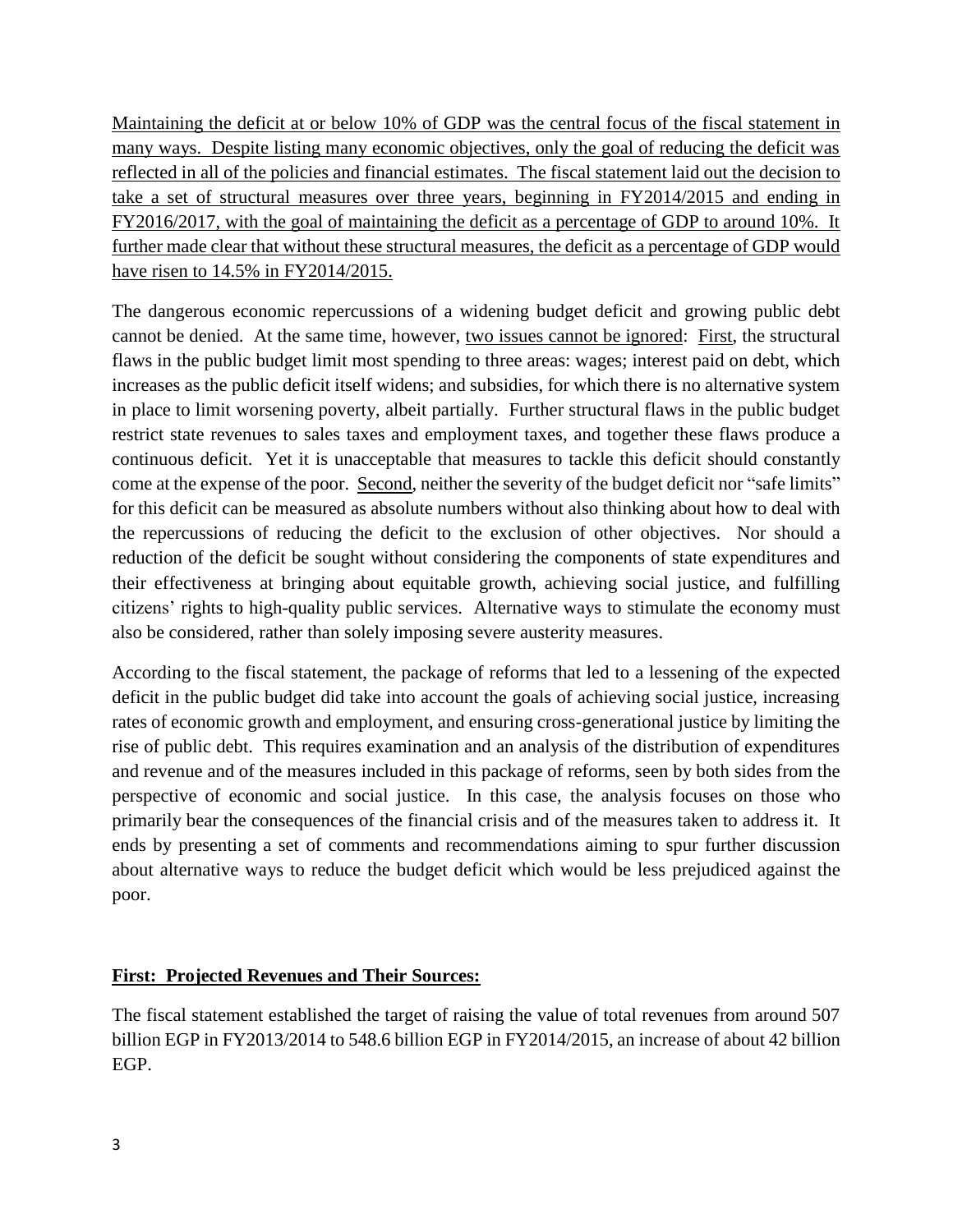Maintaining the deficit at or below 10% of GDP was the central focus of the fiscal statement in many ways. Despite listing many economic objectives, only the goal of reducing the deficit was reflected in all of the policies and financial estimates. The fiscal statement laid out the decision to take a set of structural measures over three years, beginning in FY2014/2015 and ending in FY2016/2017, with the goal of maintaining the deficit as a percentage of GDP to around 10%. It further made clear that without these structural measures, the deficit as a percentage of GDP would have risen to 14.5% in FY2014/2015.

The dangerous economic repercussions of a widening budget deficit and growing public debt cannot be denied. At the same time, however, two issues cannot be ignored: First, the structural flaws in the public budget limit most spending to three areas: wages; interest paid on debt, which increases as the public deficit itself widens; and subsidies, for which there is no alternative system in place to limit worsening poverty, albeit partially. Further structural flaws in the public budget restrict state revenues to sales taxes and employment taxes, and together these flaws produce a continuous deficit. Yet it is unacceptable that measures to tackle this deficit should constantly come at the expense of the poor. Second, neither the severity of the budget deficit nor "safe limits" for this deficit can be measured as absolute numbers without also thinking about how to deal with the repercussions of reducing the deficit to the exclusion of other objectives. Nor should a reduction of the deficit be sought without considering the components of state expenditures and their effectiveness at bringing about equitable growth, achieving social justice, and fulfilling citizens' rights to high-quality public services. Alternative ways to stimulate the economy must also be considered, rather than solely imposing severe austerity measures.

According to the fiscal statement, the package of reforms that led to a lessening of the expected deficit in the public budget did take into account the goals of achieving social justice, increasing rates of economic growth and employment, and ensuring cross-generational justice by limiting the rise of public debt. This requires examination and an analysis of the distribution of expenditures and revenue and of the measures included in this package of reforms, seen by both sides from the perspective of economic and social justice. In this case, the analysis focuses on those who primarily bear the consequences of the financial crisis and of the measures taken to address it. It ends by presenting a set of comments and recommendations aiming to spur further discussion about alternative ways to reduce the budget deficit which would be less prejudiced against the poor.

# **First: Projected Revenues and Their Sources:**

The fiscal statement established the target of raising the value of total revenues from around 507 billion EGP in FY2013/2014 to 548.6 billion EGP in FY2014/2015, an increase of about 42 billion EGP.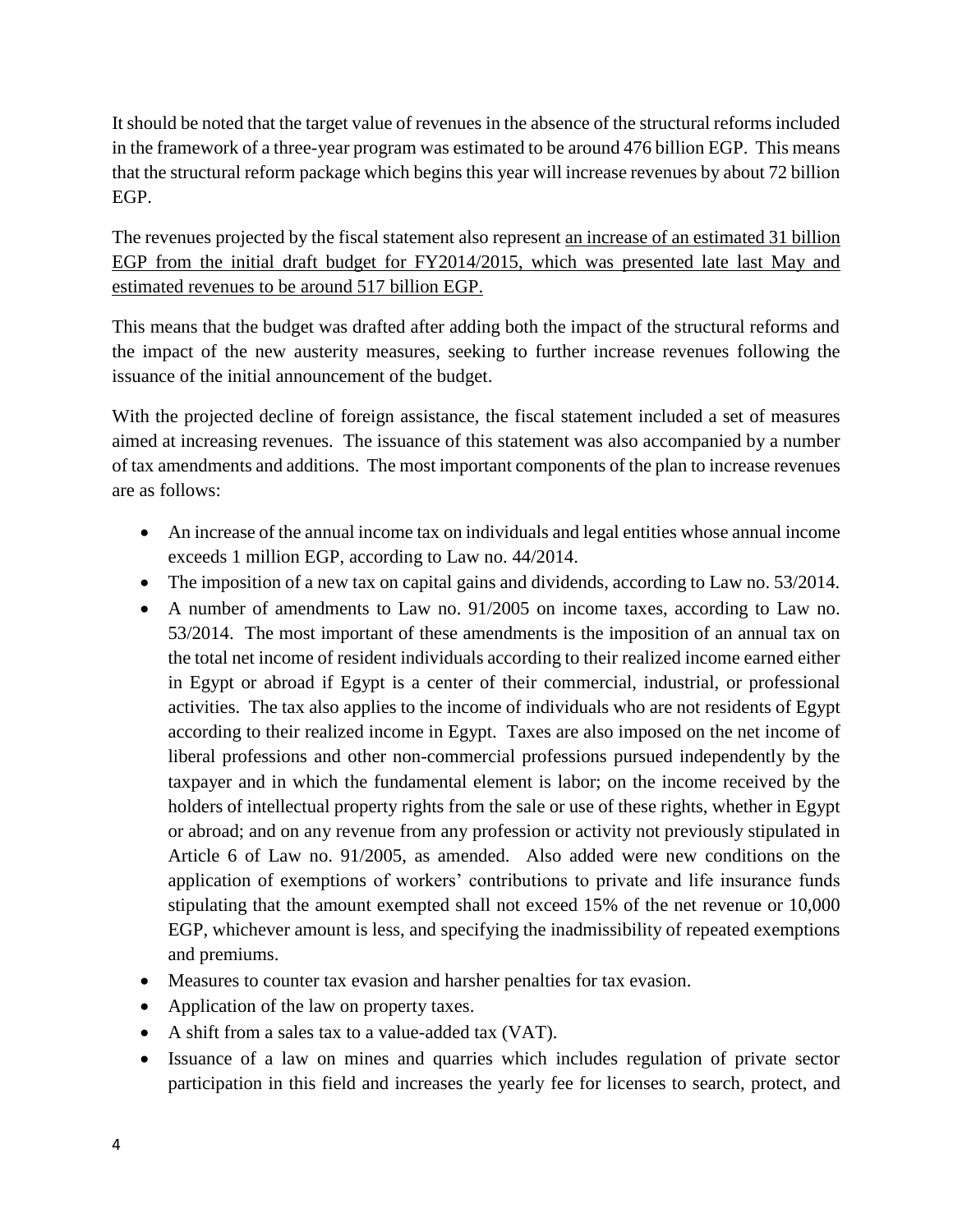It should be noted that the target value of revenues in the absence of the structural reforms included in the framework of a three-year program was estimated to be around 476 billion EGP. This means that the structural reform package which begins this year will increase revenues by about 72 billion EGP.

The revenues projected by the fiscal statement also represent <u>an increase of an estimated 31 billion</u> EGP from the initial draft budget for FY2014/2015, which was presented late last May and estimated revenues to be around 517 billion EGP.

This means that the budget was drafted after adding both the impact of the structural reforms and the impact of the new austerity measures, seeking to further increase revenues following the issuance of the initial announcement of the budget.

With the projected decline of foreign assistance, the fiscal statement included a set of measures aimed at increasing revenues. The issuance of this statement was also accompanied by a number of tax amendments and additions. The most important components of the plan to increase revenues are as follows:

- An increase of the annual income tax on individuals and legal entities whose annual income exceeds 1 million EGP, according to Law no. 44/2014.
- The imposition of a new tax on capital gains and dividends, according to Law no. 53/2014.
- A number of amendments to Law no. 91/2005 on income taxes, according to Law no. 53/2014. The most important of these amendments is the imposition of an annual tax on the total net income of resident individuals according to their realized income earned either in Egypt or abroad if Egypt is a center of their commercial, industrial, or professional activities. The tax also applies to the income of individuals who are not residents of Egypt according to their realized income in Egypt. Taxes are also imposed on the net income of liberal professions and other non-commercial professions pursued independently by the taxpayer and in which the fundamental element is labor; on the income received by the holders of intellectual property rights from the sale or use of these rights, whether in Egypt or abroad; and on any revenue from any profession or activity not previously stipulated in Article 6 of Law no. 91/2005, as amended. Also added were new conditions on the application of exemptions of workers' contributions to private and life insurance funds stipulating that the amount exempted shall not exceed 15% of the net revenue or 10,000 EGP, whichever amount is less, and specifying the inadmissibility of repeated exemptions and premiums.
- Measures to counter tax evasion and harsher penalties for tax evasion.
- Application of the law on property taxes.
- A shift from a sales tax to a value-added tax (VAT).
- Issuance of a law on mines and quarries which includes regulation of private sector participation in this field and increases the yearly fee for licenses to search, protect, and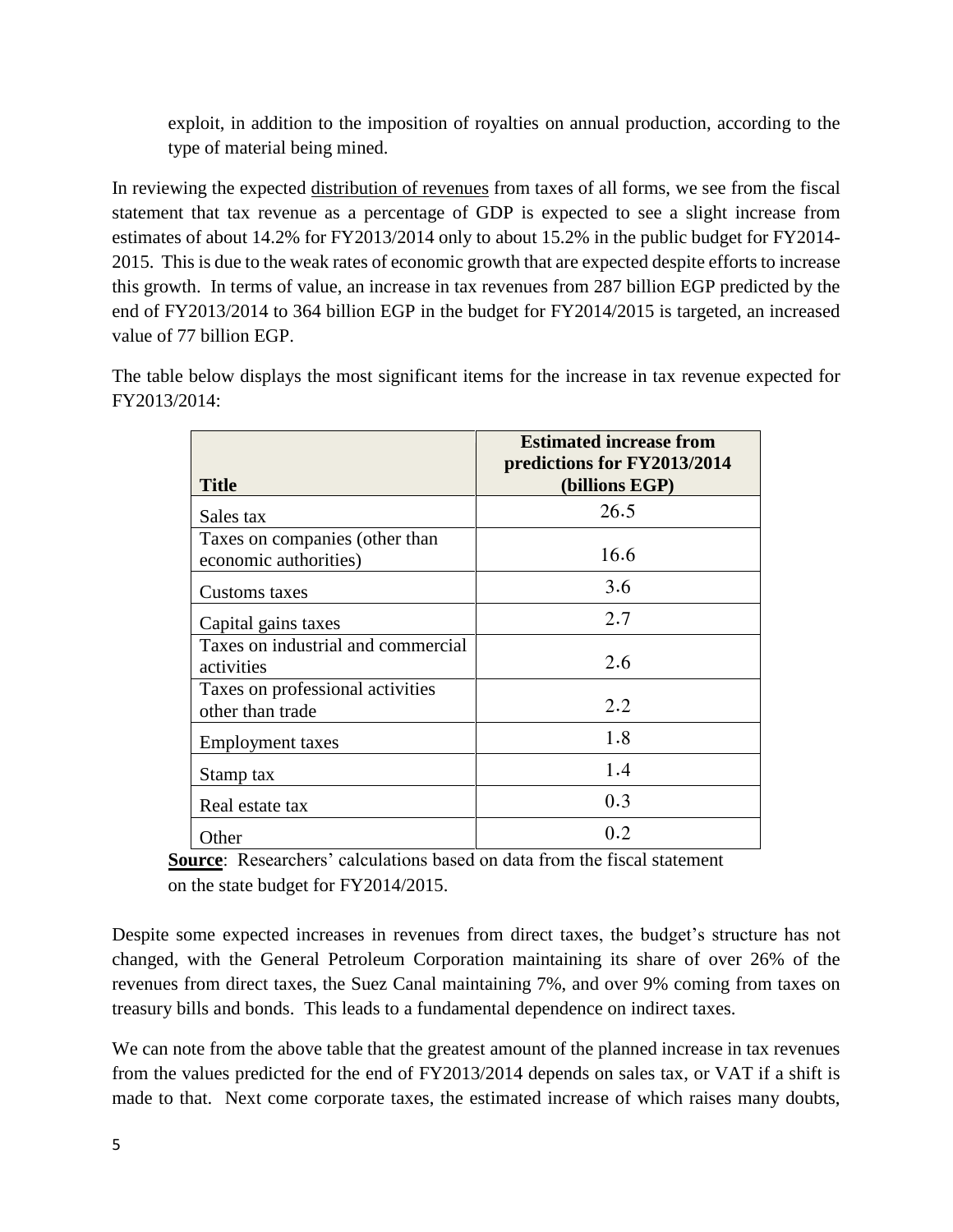exploit, in addition to the imposition of royalties on annual production, according to the type of material being mined.

In reviewing the expected distribution of revenues from taxes of all forms, we see from the fiscal statement that tax revenue as a percentage of GDP is expected to see a slight increase from estimates of about 14.2% for FY2013/2014 only to about 15.2% in the public budget for FY2014- 2015. This is due to the weak rates of economic growth that are expected despite efforts to increase this growth. In terms of value, an increase in tax revenues from 287 billion EGP predicted by the end of FY2013/2014 to 364 billion EGP in the budget for FY2014/2015 is targeted, an increased value of 77 billion EGP.

The table below displays the most significant items for the increase in tax revenue expected for FY2013/2014:

| <b>Title</b>                                            | <b>Estimated increase from</b><br>predictions for FY2013/2014<br>(billions EGP) |
|---------------------------------------------------------|---------------------------------------------------------------------------------|
| Sales tax                                               | 26.5                                                                            |
| Taxes on companies (other than<br>economic authorities) | 16.6                                                                            |
| Customs taxes                                           | 3.6                                                                             |
| Capital gains taxes                                     | 2.7                                                                             |
| Taxes on industrial and commercial<br>activities        | 2.6                                                                             |
| Taxes on professional activities<br>other than trade    | 2.2                                                                             |
| <b>Employment taxes</b>                                 | 1.8                                                                             |
| Stamp tax                                               | 1.4                                                                             |
| Real estate tax                                         | 0.3                                                                             |
| Other                                                   | 0.2                                                                             |

**Source**: Researchers' calculations based on data from the fiscal statement on the state budget for FY2014/2015.

Despite some expected increases in revenues from direct taxes, the budget's structure has not changed, with the General Petroleum Corporation maintaining its share of over 26% of the revenues from direct taxes, the Suez Canal maintaining 7%, and over 9% coming from taxes on treasury bills and bonds. This leads to a fundamental dependence on indirect taxes.

We can note from the above table that the greatest amount of the planned increase in tax revenues from the values predicted for the end of FY2013/2014 depends on sales tax, or VAT if a shift is made to that. Next come corporate taxes, the estimated increase of which raises many doubts,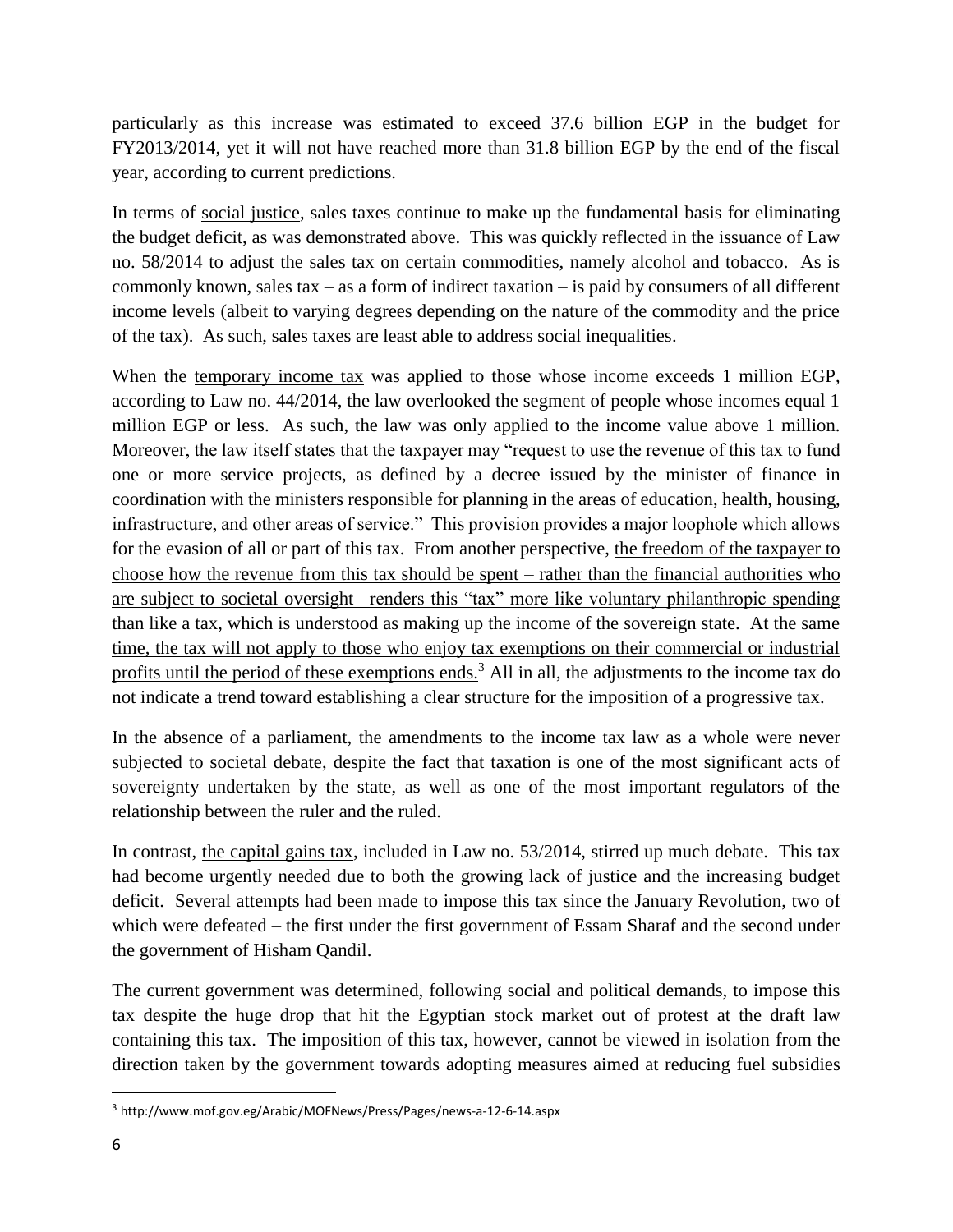particularly as this increase was estimated to exceed 37.6 billion EGP in the budget for FY2013/2014, yet it will not have reached more than 31.8 billion EGP by the end of the fiscal year, according to current predictions.

In terms of social justice, sales taxes continue to make up the fundamental basis for eliminating the budget deficit, as was demonstrated above. This was quickly reflected in the issuance of Law no. 58/2014 to adjust the sales tax on certain commodities, namely alcohol and tobacco. As is commonly known, sales tax – as a form of indirect taxation – is paid by consumers of all different income levels (albeit to varying degrees depending on the nature of the commodity and the price of the tax). As such, sales taxes are least able to address social inequalities.

When the temporary income tax was applied to those whose income exceeds 1 million EGP, according to Law no. 44/2014, the law overlooked the segment of people whose incomes equal 1 million EGP or less. As such, the law was only applied to the income value above 1 million. Moreover, the law itself states that the taxpayer may "request to use the revenue of this tax to fund one or more service projects, as defined by a decree issued by the minister of finance in coordination with the ministers responsible for planning in the areas of education, health, housing, infrastructure, and other areas of service." This provision provides a major loophole which allows for the evasion of all or part of this tax. From another perspective, the freedom of the taxpayer to choose how the revenue from this tax should be spent – rather than the financial authorities who are subject to societal oversight –renders this "tax" more like voluntary philanthropic spending than like a tax, which is understood as making up the income of the sovereign state. At the same time, the tax will not apply to those who enjoy tax exemptions on their commercial or industrial profits until the period of these exemptions ends.<sup>3</sup> All in all, the adjustments to the income tax do not indicate a trend toward establishing a clear structure for the imposition of a progressive tax.

In the absence of a parliament, the amendments to the income tax law as a whole were never subjected to societal debate, despite the fact that taxation is one of the most significant acts of sovereignty undertaken by the state, as well as one of the most important regulators of the relationship between the ruler and the ruled.

In contrast, the capital gains tax, included in Law no. 53/2014, stirred up much debate. This tax had become urgently needed due to both the growing lack of justice and the increasing budget deficit. Several attempts had been made to impose this tax since the January Revolution, two of which were defeated – the first under the first government of Essam Sharaf and the second under the government of Hisham Qandil.

The current government was determined, following social and political demands, to impose this tax despite the huge drop that hit the Egyptian stock market out of protest at the draft law containing this tax. The imposition of this tax, however, cannot be viewed in isolation from the direction taken by the government towards adopting measures aimed at reducing fuel subsidies

<sup>3</sup> http://www.mof.gov.eg/Arabic/MOFNews/Press/Pages/news-a-12-6-14.aspx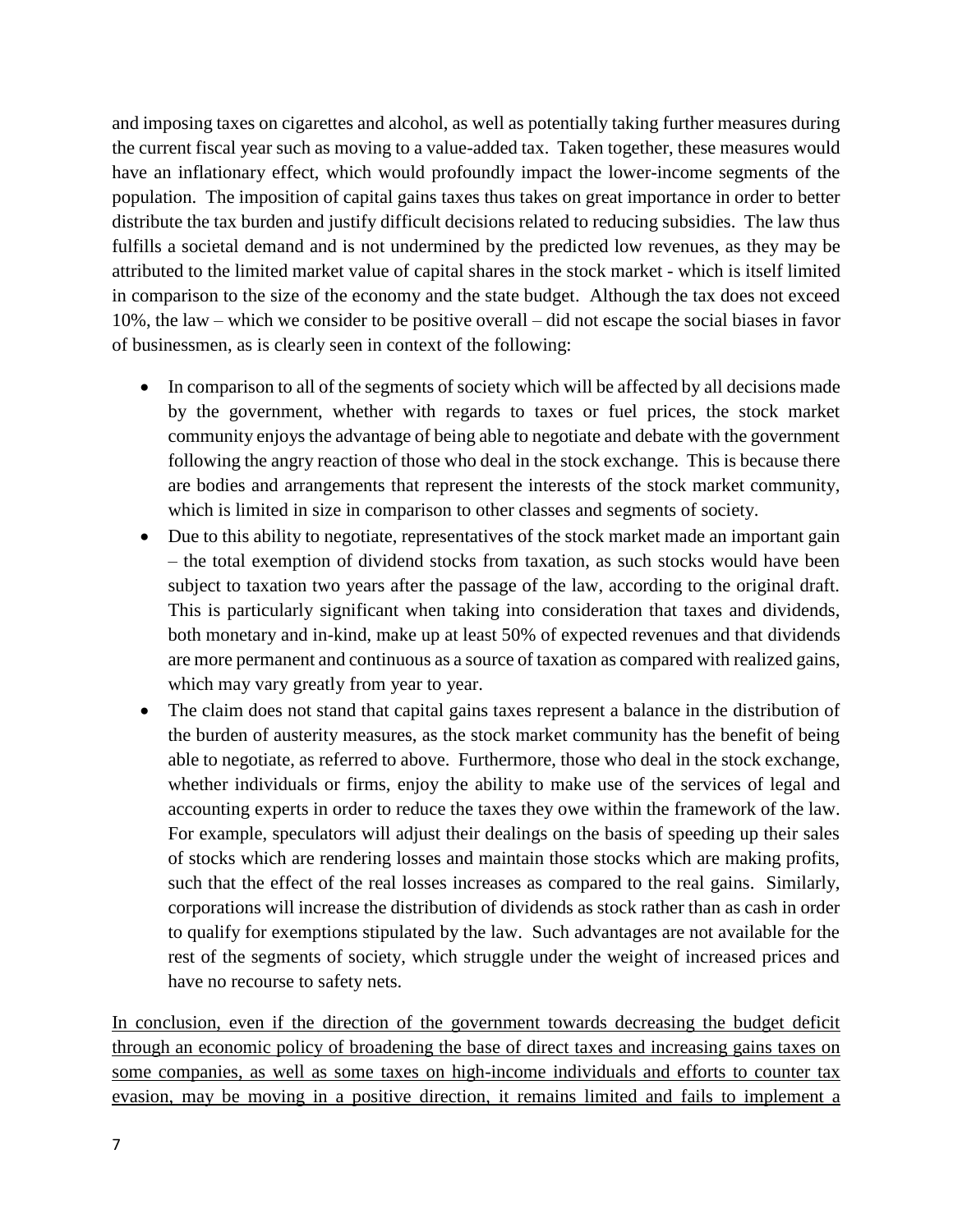and imposing taxes on cigarettes and alcohol, as well as potentially taking further measures during the current fiscal year such as moving to a value-added tax. Taken together, these measures would have an inflationary effect, which would profoundly impact the lower-income segments of the population. The imposition of capital gains taxes thus takes on great importance in order to better distribute the tax burden and justify difficult decisions related to reducing subsidies. The law thus fulfills a societal demand and is not undermined by the predicted low revenues, as they may be attributed to the limited market value of capital shares in the stock market - which is itself limited in comparison to the size of the economy and the state budget. Although the tax does not exceed 10%, the law – which we consider to be positive overall – did not escape the social biases in favor of businessmen, as is clearly seen in context of the following:

- In comparison to all of the segments of society which will be affected by all decisions made by the government, whether with regards to taxes or fuel prices, the stock market community enjoys the advantage of being able to negotiate and debate with the government following the angry reaction of those who deal in the stock exchange. This is because there are bodies and arrangements that represent the interests of the stock market community, which is limited in size in comparison to other classes and segments of society.
- Due to this ability to negotiate, representatives of the stock market made an important gain – the total exemption of dividend stocks from taxation, as such stocks would have been subject to taxation two years after the passage of the law, according to the original draft. This is particularly significant when taking into consideration that taxes and dividends, both monetary and in-kind, make up at least 50% of expected revenues and that dividends are more permanent and continuous as a source of taxation as compared with realized gains, which may vary greatly from year to year.
- The claim does not stand that capital gains taxes represent a balance in the distribution of the burden of austerity measures, as the stock market community has the benefit of being able to negotiate, as referred to above. Furthermore, those who deal in the stock exchange, whether individuals or firms, enjoy the ability to make use of the services of legal and accounting experts in order to reduce the taxes they owe within the framework of the law. For example, speculators will adjust their dealings on the basis of speeding up their sales of stocks which are rendering losses and maintain those stocks which are making profits, such that the effect of the real losses increases as compared to the real gains. Similarly, corporations will increase the distribution of dividends as stock rather than as cash in order to qualify for exemptions stipulated by the law. Such advantages are not available for the rest of the segments of society, which struggle under the weight of increased prices and have no recourse to safety nets.

In conclusion, even if the direction of the government towards decreasing the budget deficit through an economic policy of broadening the base of direct taxes and increasing gains taxes on some companies, as well as some taxes on high-income individuals and efforts to counter tax evasion, may be moving in a positive direction, it remains limited and fails to implement a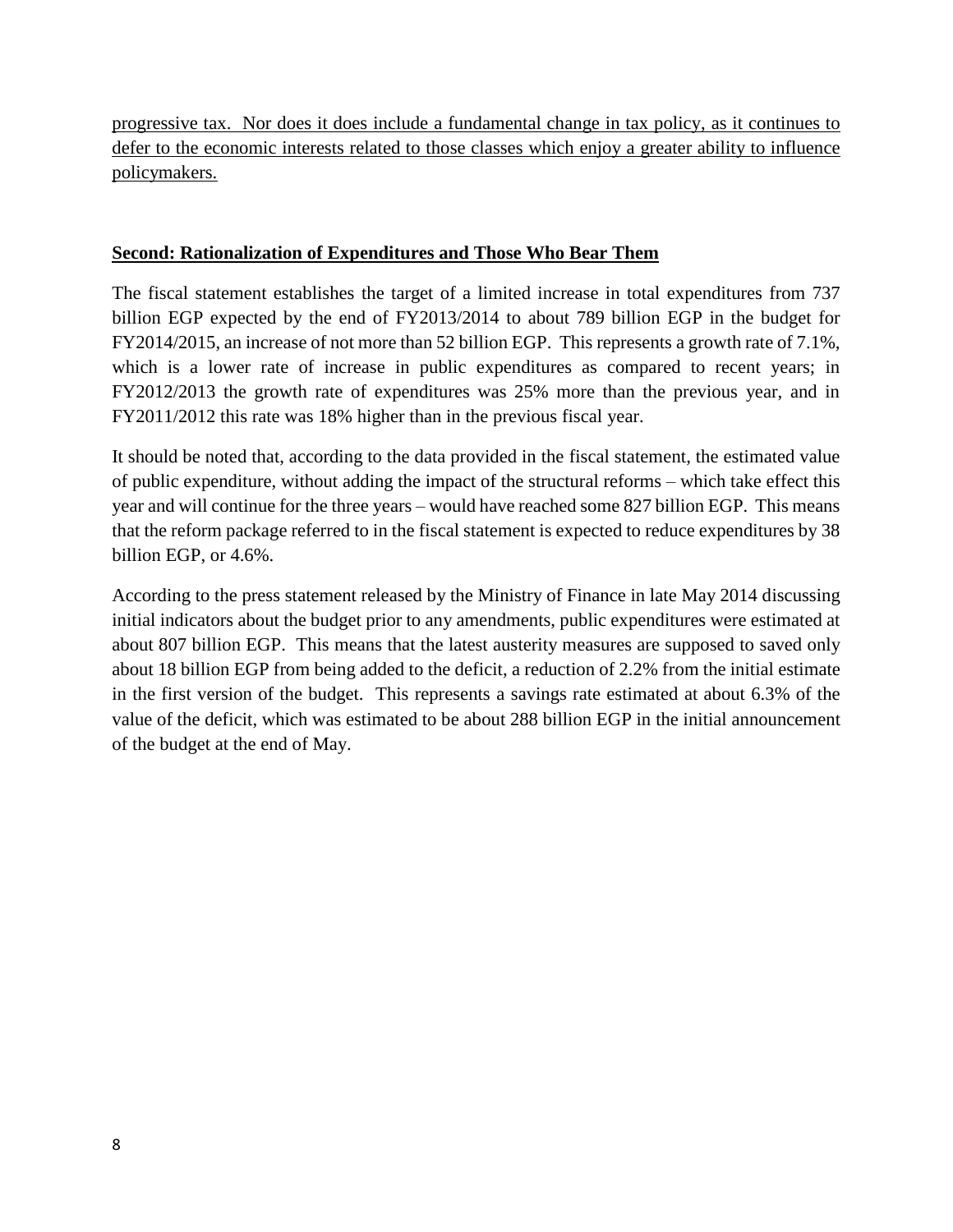progressive tax. Nor does it does include a fundamental change in tax policy, as it continues to defer to the economic interests related to those classes which enjoy a greater ability to influence policymakers.

#### **Second: Rationalization of Expenditures and Those Who Bear Them**

The fiscal statement establishes the target of a limited increase in total expenditures from 737 billion EGP expected by the end of FY2013/2014 to about 789 billion EGP in the budget for FY2014/2015, an increase of not more than 52 billion EGP. This represents a growth rate of 7.1%, which is a lower rate of increase in public expenditures as compared to recent years; in FY2012/2013 the growth rate of expenditures was 25% more than the previous year, and in FY2011/2012 this rate was 18% higher than in the previous fiscal year.

It should be noted that, according to the data provided in the fiscal statement, the estimated value of public expenditure, without adding the impact of the structural reforms – which take effect this year and will continue for the three years – would have reached some 827 billion EGP. This means that the reform package referred to in the fiscal statement is expected to reduce expenditures by 38 billion EGP, or 4.6%.

According to the press statement released by the Ministry of Finance in late May 2014 discussing initial indicators about the budget prior to any amendments, public expenditures were estimated at about 807 billion EGP. This means that the latest austerity measures are supposed to saved only about 18 billion EGP from being added to the deficit, a reduction of 2.2% from the initial estimate in the first version of the budget. This represents a savings rate estimated at about 6.3% of the value of the deficit, which was estimated to be about 288 billion EGP in the initial announcement of the budget at the end of May.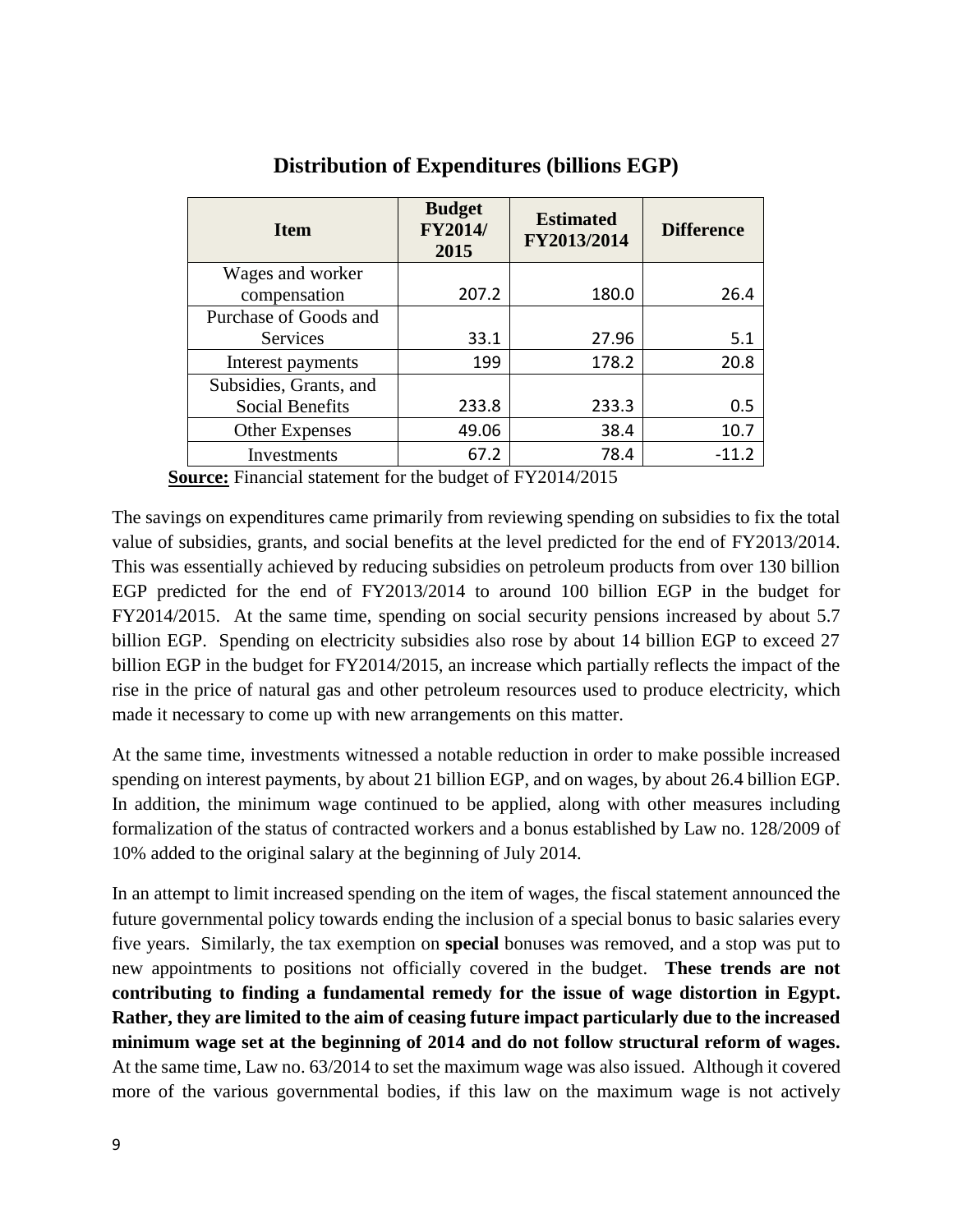| <b>Item</b>            | <b>Budget</b><br><b>FY2014/</b><br>2015 | <b>Estimated</b><br>FY2013/2014 | <b>Difference</b> |
|------------------------|-----------------------------------------|---------------------------------|-------------------|
| Wages and worker       |                                         |                                 |                   |
| compensation           | 207.2                                   | 180.0                           | 26.4              |
| Purchase of Goods and  |                                         |                                 |                   |
| <b>Services</b>        | 33.1                                    | 27.96                           | 5.1               |
| Interest payments      | 199                                     | 178.2                           | 20.8              |
| Subsidies, Grants, and |                                         |                                 |                   |
| Social Benefits        | 233.8                                   | 233.3                           | 0.5               |
| Other Expenses         | 49.06                                   | 38.4                            | 10.7              |
| Investments            | 67.2                                    | 78.4                            | $-11.2$           |

**Distribution of Expenditures (billions EGP)**

**Source:** Financial statement for the budget of FY2014/2015

The savings on expenditures came primarily from reviewing spending on subsidies to fix the total value of subsidies, grants, and social benefits at the level predicted for the end of FY2013/2014. This was essentially achieved by reducing subsidies on petroleum products from over 130 billion EGP predicted for the end of FY2013/2014 to around 100 billion EGP in the budget for FY2014/2015. At the same time, spending on social security pensions increased by about 5.7 billion EGP. Spending on electricity subsidies also rose by about 14 billion EGP to exceed 27 billion EGP in the budget for FY2014/2015, an increase which partially reflects the impact of the rise in the price of natural gas and other petroleum resources used to produce electricity, which made it necessary to come up with new arrangements on this matter.

At the same time, investments witnessed a notable reduction in order to make possible increased spending on interest payments, by about 21 billion EGP, and on wages, by about 26.4 billion EGP. In addition, the minimum wage continued to be applied, along with other measures including formalization of the status of contracted workers and a bonus established by Law no. 128/2009 of 10% added to the original salary at the beginning of July 2014.

In an attempt to limit increased spending on the item of wages, the fiscal statement announced the future governmental policy towards ending the inclusion of a special bonus to basic salaries every five years. Similarly, the tax exemption on **special** bonuses was removed, and a stop was put to new appointments to positions not officially covered in the budget. **These trends are not contributing to finding a fundamental remedy for the issue of wage distortion in Egypt. Rather, they are limited to the aim of ceasing future impact particularly due to the increased minimum wage set at the beginning of 2014 and do not follow structural reform of wages.**  At the same time, Law no. 63/2014 to set the maximum wage was also issued. Although it covered more of the various governmental bodies, if this law on the maximum wage is not actively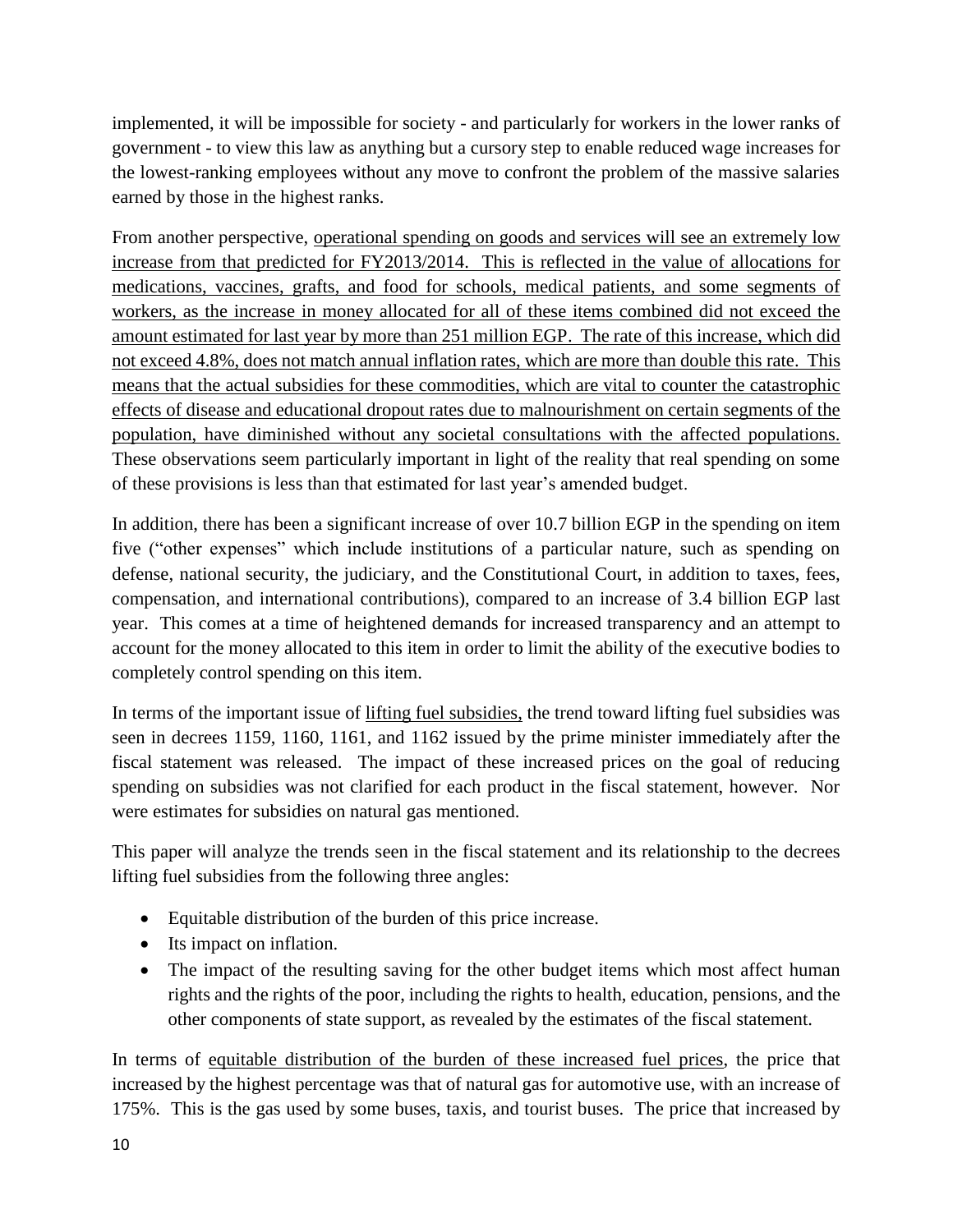implemented, it will be impossible for society - and particularly for workers in the lower ranks of government - to view this law as anything but a cursory step to enable reduced wage increases for the lowest-ranking employees without any move to confront the problem of the massive salaries earned by those in the highest ranks.

From another perspective, operational spending on goods and services will see an extremely low increase from that predicted for FY2013/2014. This is reflected in the value of allocations for medications, vaccines, grafts, and food for schools, medical patients, and some segments of workers, as the increase in money allocated for all of these items combined did not exceed the amount estimated for last year by more than 251 million EGP. The rate of this increase, which did not exceed 4.8%, does not match annual inflation rates, which are more than double this rate. This means that the actual subsidies for these commodities, which are vital to counter the catastrophic effects of disease and educational dropout rates due to malnourishment on certain segments of the population, have diminished without any societal consultations with the affected populations. These observations seem particularly important in light of the reality that real spending on some of these provisions is less than that estimated for last year's amended budget.

In addition, there has been a significant increase of over 10.7 billion EGP in the spending on item five ("other expenses" which include institutions of a particular nature, such as spending on defense, national security, the judiciary, and the Constitutional Court, in addition to taxes, fees, compensation, and international contributions), compared to an increase of 3.4 billion EGP last year. This comes at a time of heightened demands for increased transparency and an attempt to account for the money allocated to this item in order to limit the ability of the executive bodies to completely control spending on this item.

In terms of the important issue of lifting fuel subsidies, the trend toward lifting fuel subsidies was seen in decrees 1159, 1160, 1161, and 1162 issued by the prime minister immediately after the fiscal statement was released. The impact of these increased prices on the goal of reducing spending on subsidies was not clarified for each product in the fiscal statement, however. Nor were estimates for subsidies on natural gas mentioned.

This paper will analyze the trends seen in the fiscal statement and its relationship to the decrees lifting fuel subsidies from the following three angles:

- Equitable distribution of the burden of this price increase.
- Its impact on inflation.
- The impact of the resulting saving for the other budget items which most affect human rights and the rights of the poor, including the rights to health, education, pensions, and the other components of state support, as revealed by the estimates of the fiscal statement.

In terms of equitable distribution of the burden of these increased fuel prices, the price that increased by the highest percentage was that of natural gas for automotive use, with an increase of 175%. This is the gas used by some buses, taxis, and tourist buses. The price that increased by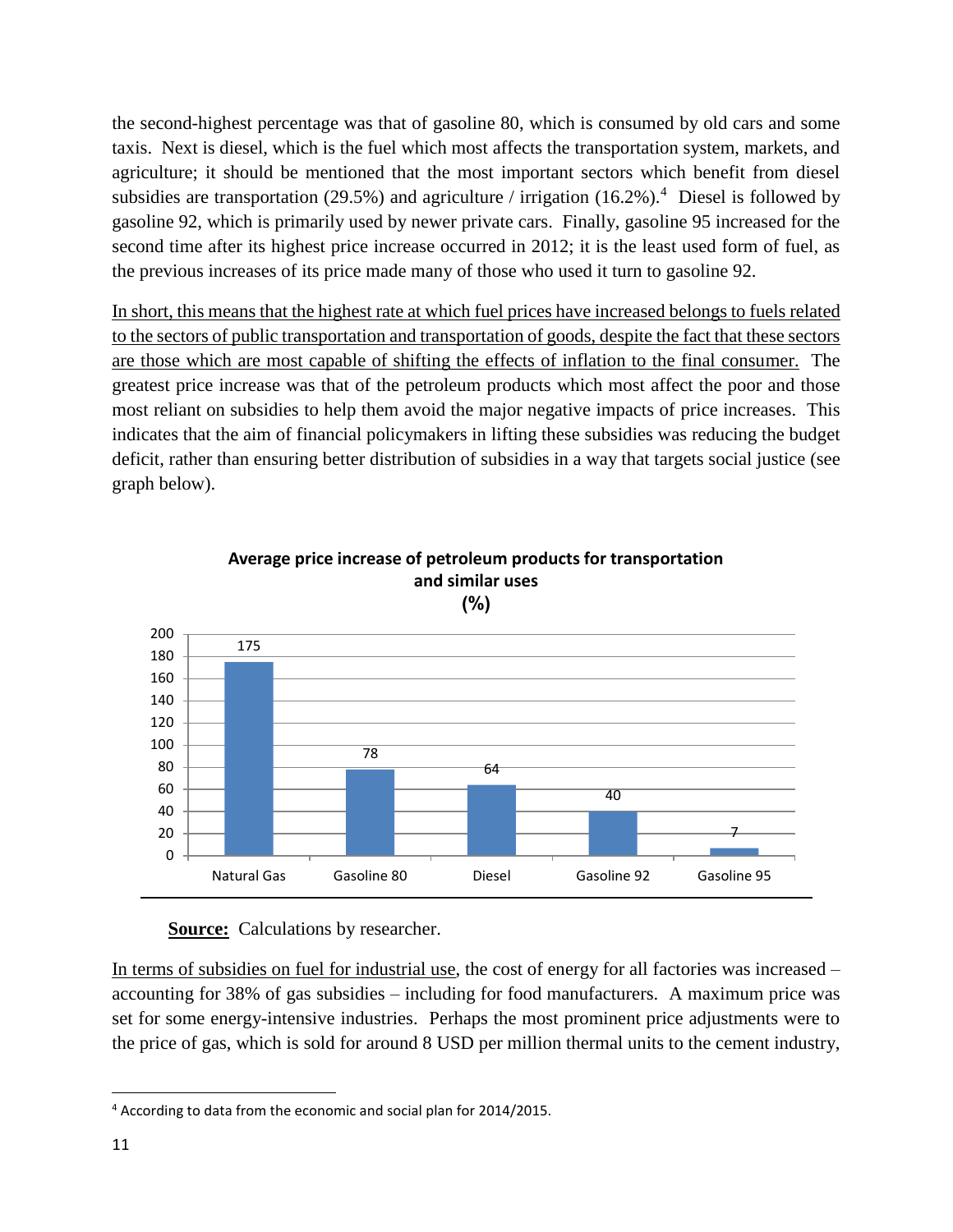the second-highest percentage was that of gasoline 80, which is consumed by old cars and some taxis. Next is diesel, which is the fuel which most affects the transportation system, markets, and agriculture; it should be mentioned that the most important sectors which benefit from diesel subsidies are transportation (29.5%) and agriculture / irrigation (16.2%).<sup>4</sup> Diesel is followed by gasoline 92, which is primarily used by newer private cars. Finally, gasoline 95 increased for the second time after its highest price increase occurred in 2012; it is the least used form of fuel, as the previous increases of its price made many of those who used it turn to gasoline 92.

In short, this means that the highest rate at which fuel prices have increased belongs to fuels related to the sectors of public transportation and transportation of goods, despite the fact that these sectors are those which are most capable of shifting the effects of inflation to the final consumer. The greatest price increase was that of the petroleum products which most affect the poor and those most reliant on subsidies to help them avoid the major negative impacts of price increases. This indicates that the aim of financial policymakers in lifting these subsidies was reducing the budget deficit, rather than ensuring better distribution of subsidies in a way that targets social justice (see graph below).



# **Average price increase of petroleum products for transportation and similar uses**

**(%)**

**Source:** Calculations by researcher.

In terms of subsidies on fuel for industrial use, the cost of energy for all factories was increased – accounting for 38% of gas subsidies – including for food manufacturers. A maximum price was set for some energy-intensive industries. Perhaps the most prominent price adjustments were to the price of gas, which is sold for around 8 USD per million thermal units to the cement industry,

 $\overline{\phantom{a}}$ <sup>4</sup> According to data from the economic and social plan for 2014/2015.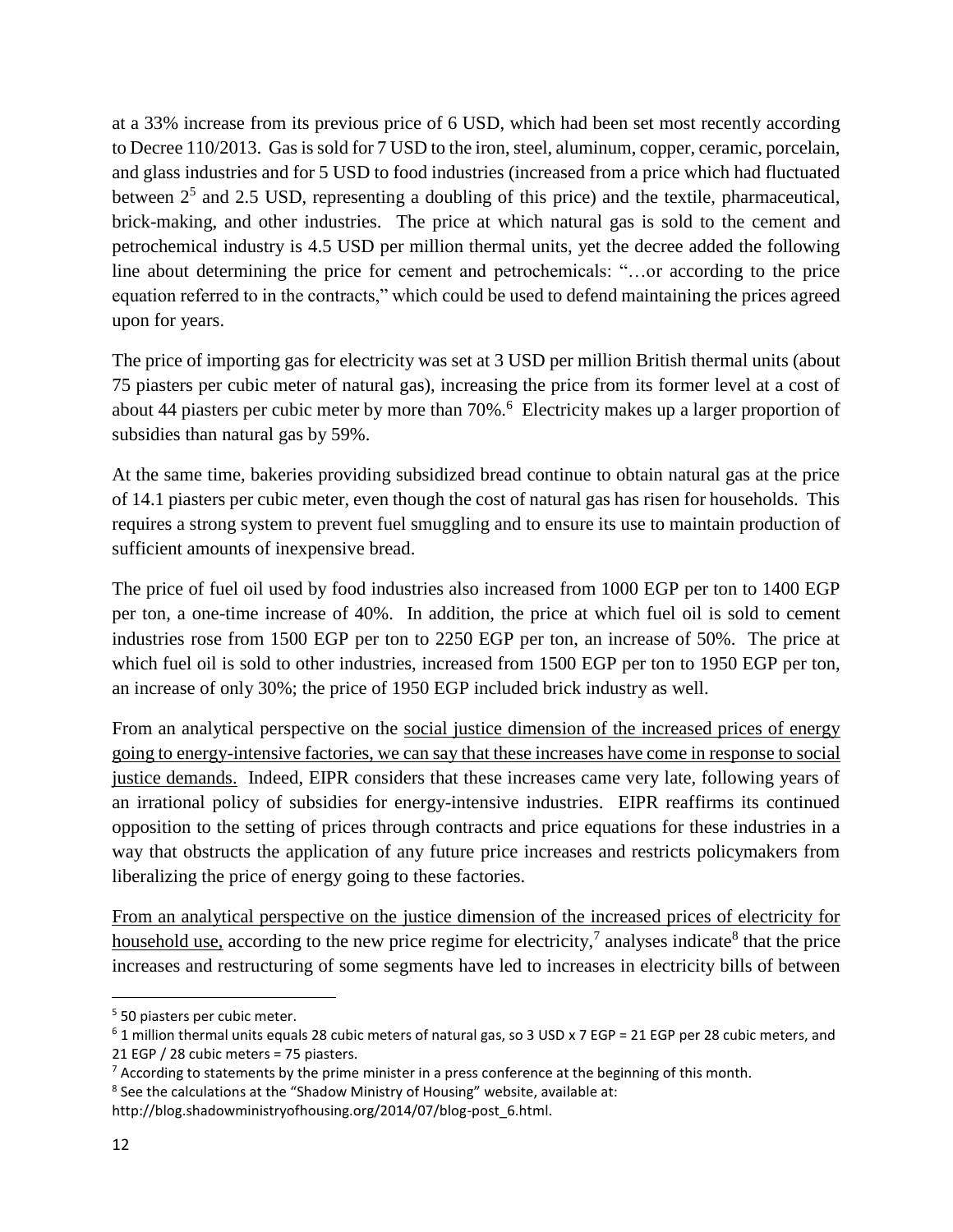at a 33% increase from its previous price of 6 USD, which had been set most recently according to Decree 110/2013. Gas is sold for 7 USD to the iron, steel, aluminum, copper, ceramic, porcelain, and glass industries and for 5 USD to food industries (increased from a price which had fluctuated between  $2<sup>5</sup>$  and 2.5 USD, representing a doubling of this price) and the textile, pharmaceutical, brick-making, and other industries. The price at which natural gas is sold to the cement and petrochemical industry is 4.5 USD per million thermal units, yet the decree added the following line about determining the price for cement and petrochemicals: "…or according to the price equation referred to in the contracts," which could be used to defend maintaining the prices agreed upon for years.

The price of importing gas for electricity was set at 3 USD per million British thermal units (about 75 piasters per cubic meter of natural gas), increasing the price from its former level at a cost of about 44 piasters per cubic meter by more than 70%.<sup>6</sup> Electricity makes up a larger proportion of subsidies than natural gas by 59%.

At the same time, bakeries providing subsidized bread continue to obtain natural gas at the price of 14.1 piasters per cubic meter, even though the cost of natural gas has risen for households. This requires a strong system to prevent fuel smuggling and to ensure its use to maintain production of sufficient amounts of inexpensive bread.

The price of fuel oil used by food industries also increased from 1000 EGP per ton to 1400 EGP per ton, a one-time increase of 40%. In addition, the price at which fuel oil is sold to cement industries rose from 1500 EGP per ton to 2250 EGP per ton, an increase of 50%. The price at which fuel oil is sold to other industries, increased from 1500 EGP per ton to 1950 EGP per ton, an increase of only 30%; the price of 1950 EGP included brick industry as well.

From an analytical perspective on the social justice dimension of the increased prices of energy going to energy-intensive factories, we can say that these increases have come in response to social justice demands. Indeed, EIPR considers that these increases came very late, following years of an irrational policy of subsidies for energy-intensive industries. EIPR reaffirms its continued opposition to the setting of prices through contracts and price equations for these industries in a way that obstructs the application of any future price increases and restricts policymakers from liberalizing the price of energy going to these factories.

From an analytical perspective on the justice dimension of the increased prices of electricity for household use, according to the new price regime for electricity,<sup>7</sup> analyses indicate<sup>8</sup> that the price increases and restructuring of some segments have led to increases in electricity bills of between

 $\overline{a}$ 

<sup>&</sup>lt;sup>5</sup> 50 piasters per cubic meter.

 $6$  1 million thermal units equals 28 cubic meters of natural gas, so 3 USD x 7 EGP = 21 EGP per 28 cubic meters, and 21 EGP / 28 cubic meters = 75 piasters.

 $<sup>7</sup>$  According to statements by the prime minister in a press conference at the beginning of this month.</sup>

<sup>&</sup>lt;sup>8</sup> See the calculations at the "Shadow Ministry of Housing" website, available at:

http://blog.shadowministryofhousing.org/2014/07/blog-post\_6.html.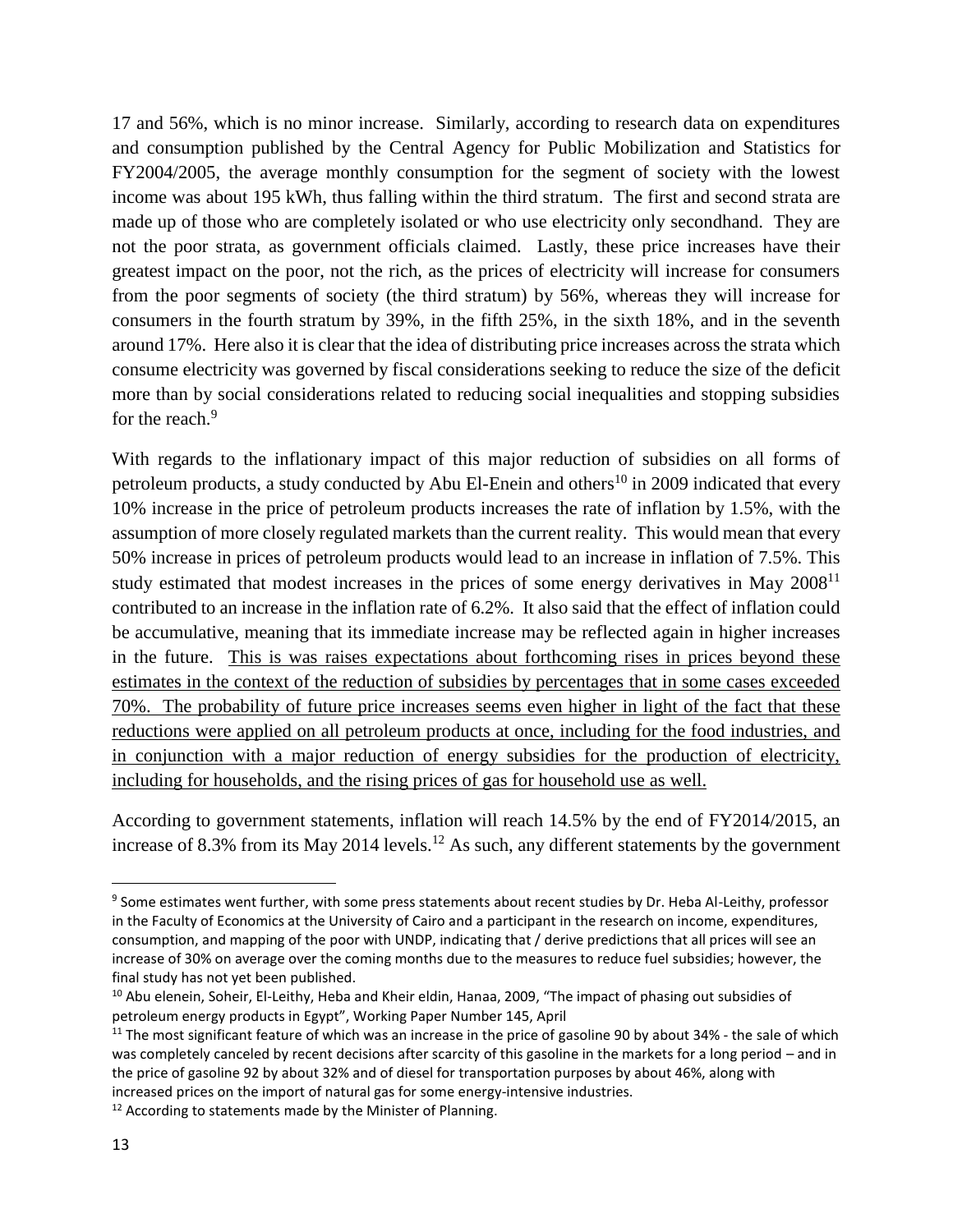17 and 56%, which is no minor increase. Similarly, according to research data on expenditures and consumption published by the Central Agency for Public Mobilization and Statistics for FY2004/2005, the average monthly consumption for the segment of society with the lowest income was about 195 kWh, thus falling within the third stratum. The first and second strata are made up of those who are completely isolated or who use electricity only secondhand. They are not the poor strata, as government officials claimed. Lastly, these price increases have their greatest impact on the poor, not the rich, as the prices of electricity will increase for consumers from the poor segments of society (the third stratum) by 56%, whereas they will increase for consumers in the fourth stratum by 39%, in the fifth 25%, in the sixth 18%, and in the seventh around 17%. Here also it is clear that the idea of distributing price increases across the strata which consume electricity was governed by fiscal considerations seeking to reduce the size of the deficit more than by social considerations related to reducing social inequalities and stopping subsidies for the reach.<sup>9</sup>

With regards to the inflationary impact of this major reduction of subsidies on all forms of petroleum products, a study conducted by Abu El-Enein and others<sup>10</sup> in 2009 indicated that every 10% increase in the price of petroleum products increases the rate of inflation by 1.5%, with the assumption of more closely regulated markets than the current reality. This would mean that every 50% increase in prices of petroleum products would lead to an increase in inflation of 7.5%. This study estimated that modest increases in the prices of some energy derivatives in May 2008<sup>11</sup> contributed to an increase in the inflation rate of 6.2%. It also said that the effect of inflation could be accumulative, meaning that its immediate increase may be reflected again in higher increases in the future. This is was raises expectations about forthcoming rises in prices beyond these estimates in the context of the reduction of subsidies by percentages that in some cases exceeded 70%. The probability of future price increases seems even higher in light of the fact that these reductions were applied on all petroleum products at once, including for the food industries, and in conjunction with a major reduction of energy subsidies for the production of electricity, including for households, and the rising prices of gas for household use as well.

According to government statements, inflation will reach 14.5% by the end of FY2014/2015, an increase of 8.3% from its May 2014 levels.<sup>12</sup> As such, any different statements by the government

<sup>&</sup>lt;sup>9</sup> Some estimates went further, with some press statements about recent studies by Dr. Heba Al-Leithy, professor in the Faculty of Economics at the University of Cairo and a participant in the research on income, expenditures, consumption, and mapping of the poor with UNDP, indicating that / derive predictions that all prices will see an increase of 30% on average over the coming months due to the measures to reduce fuel subsidies; however, the final study has not yet been published.

<sup>&</sup>lt;sup>10</sup> Abu elenein, Soheir, El-Leithy, Heba and Kheir eldin, Hanaa, 2009, "The impact of phasing out subsidies of petroleum energy products in Egypt", Working Paper Number 145, April

 $11$  The most significant feature of which was an increase in the price of gasoline 90 by about 34% - the sale of which was completely canceled by recent decisions after scarcity of this gasoline in the markets for a long period – and in the price of gasoline 92 by about 32% and of diesel for transportation purposes by about 46%, along with increased prices on the import of natural gas for some energy-intensive industries.

<sup>&</sup>lt;sup>12</sup> According to statements made by the Minister of Planning.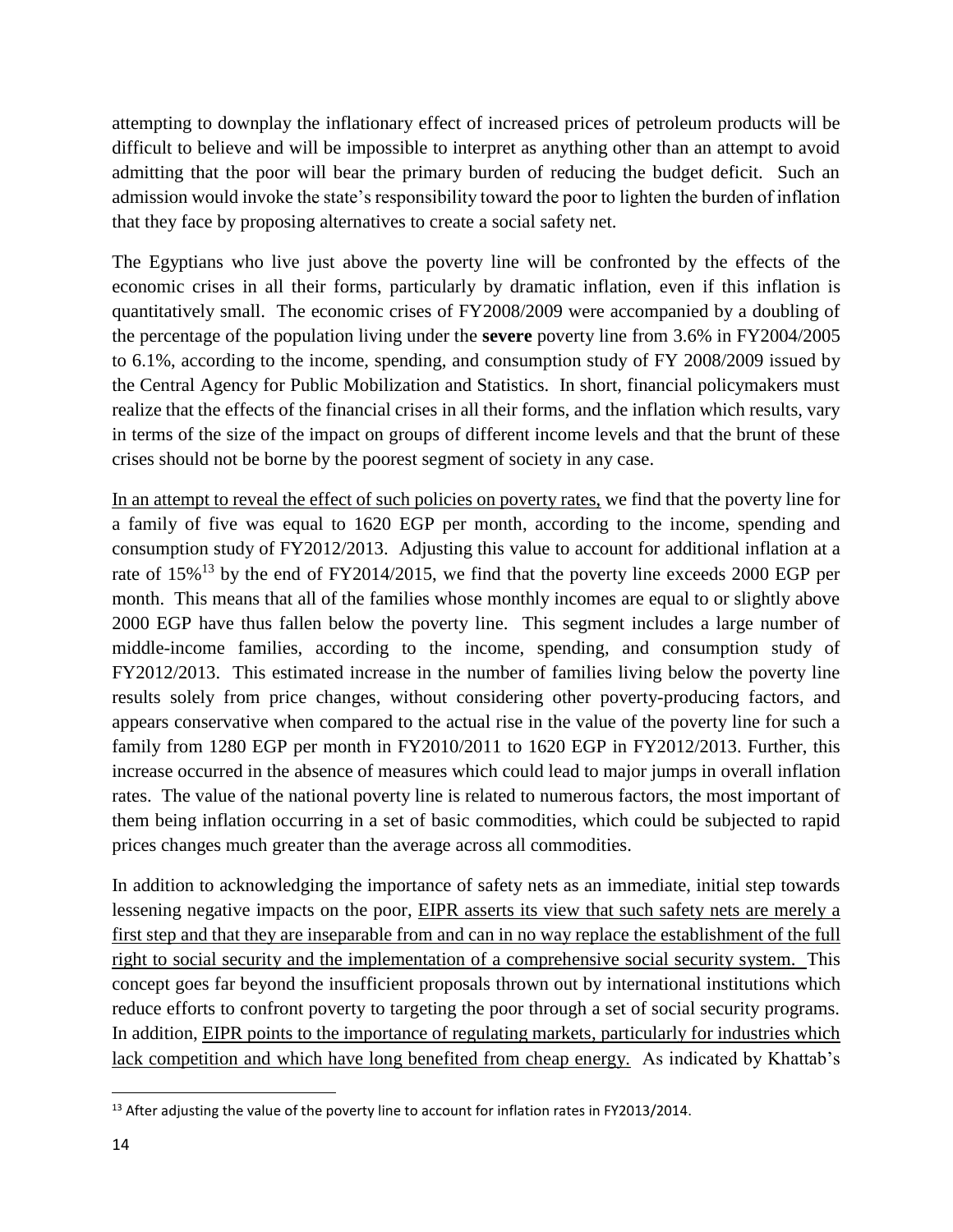attempting to downplay the inflationary effect of increased prices of petroleum products will be difficult to believe and will be impossible to interpret as anything other than an attempt to avoid admitting that the poor will bear the primary burden of reducing the budget deficit. Such an admission would invoke the state's responsibility toward the poor to lighten the burden of inflation that they face by proposing alternatives to create a social safety net.

The Egyptians who live just above the poverty line will be confronted by the effects of the economic crises in all their forms, particularly by dramatic inflation, even if this inflation is quantitatively small. The economic crises of FY2008/2009 were accompanied by a doubling of the percentage of the population living under the **severe** poverty line from 3.6% in FY2004/2005 to 6.1%, according to the income, spending, and consumption study of FY 2008/2009 issued by the Central Agency for Public Mobilization and Statistics. In short, financial policymakers must realize that the effects of the financial crises in all their forms, and the inflation which results, vary in terms of the size of the impact on groups of different income levels and that the brunt of these crises should not be borne by the poorest segment of society in any case.

In an attempt to reveal the effect of such policies on poverty rates, we find that the poverty line for a family of five was equal to 1620 EGP per month, according to the income, spending and consumption study of FY2012/2013. Adjusting this value to account for additional inflation at a rate of  $15\%$ <sup>13</sup> by the end of FY2014/2015, we find that the poverty line exceeds 2000 EGP per month. This means that all of the families whose monthly incomes are equal to or slightly above 2000 EGP have thus fallen below the poverty line. This segment includes a large number of middle-income families, according to the income, spending, and consumption study of FY2012/2013. This estimated increase in the number of families living below the poverty line results solely from price changes, without considering other poverty-producing factors, and appears conservative when compared to the actual rise in the value of the poverty line for such a family from 1280 EGP per month in FY2010/2011 to 1620 EGP in FY2012/2013. Further, this increase occurred in the absence of measures which could lead to major jumps in overall inflation rates. The value of the national poverty line is related to numerous factors, the most important of them being inflation occurring in a set of basic commodities, which could be subjected to rapid prices changes much greater than the average across all commodities.

In addition to acknowledging the importance of safety nets as an immediate, initial step towards lessening negative impacts on the poor, EIPR asserts its view that such safety nets are merely a first step and that they are inseparable from and can in no way replace the establishment of the full right to social security and the implementation of a comprehensive social security system. This concept goes far beyond the insufficient proposals thrown out by international institutions which reduce efforts to confront poverty to targeting the poor through a set of social security programs. In addition, EIPR points to the importance of regulating markets, particularly for industries which lack competition and which have long benefited from cheap energy. As indicated by Khattab's

<sup>&</sup>lt;sup>13</sup> After adjusting the value of the poverty line to account for inflation rates in FY2013/2014.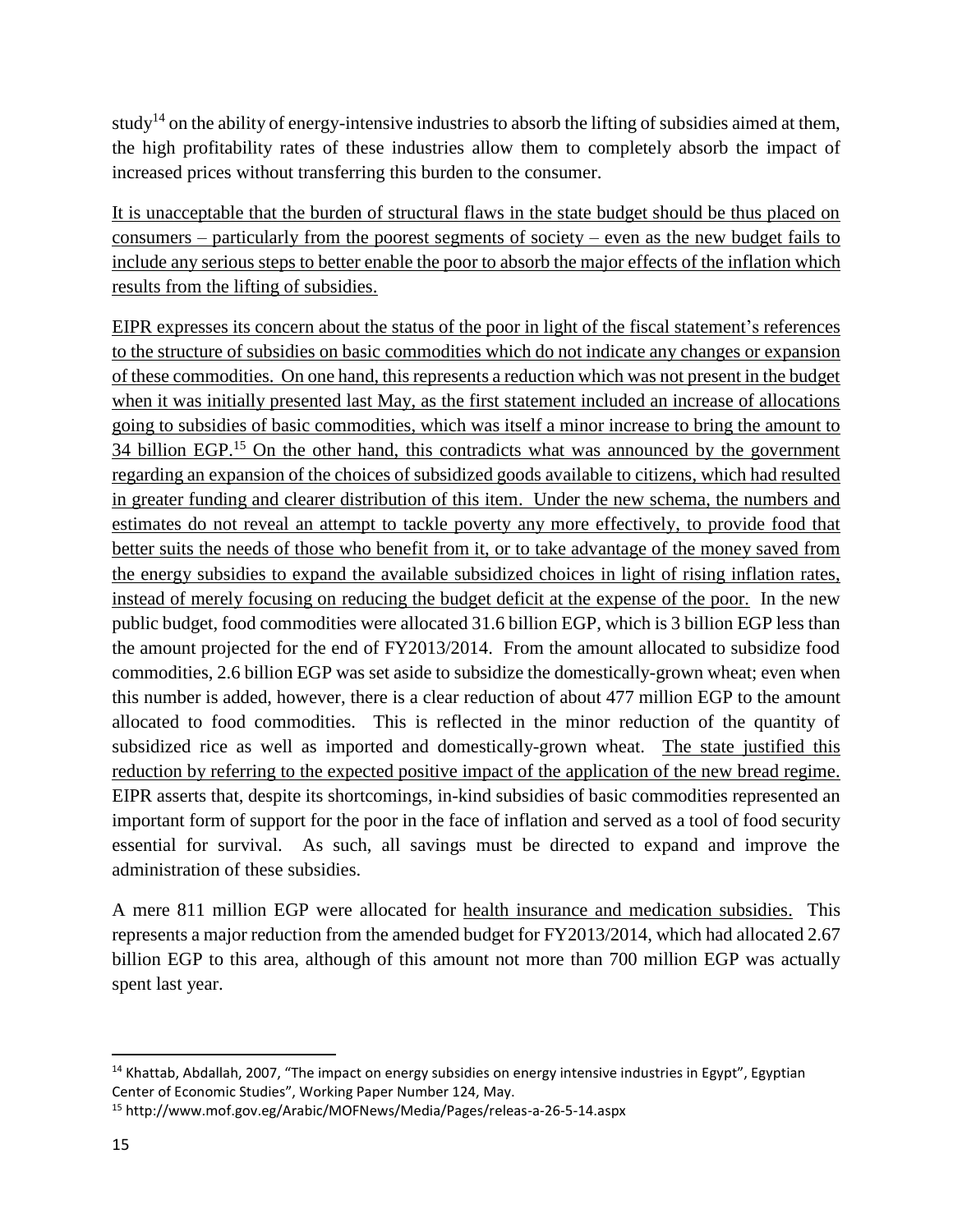study<sup>14</sup> on the ability of energy-intensive industries to absorb the lifting of subsidies aimed at them, the high profitability rates of these industries allow them to completely absorb the impact of increased prices without transferring this burden to the consumer.

It is unacceptable that the burden of structural flaws in the state budget should be thus placed on consumers – particularly from the poorest segments of society – even as the new budget fails to include any serious steps to better enable the poor to absorb the major effects of the inflation which results from the lifting of subsidies.

EIPR expresses its concern about the status of the poor in light of the fiscal statement's references to the structure of subsidies on basic commodities which do not indicate any changes or expansion of these commodities. On one hand, this represents a reduction which was not present in the budget when it was initially presented last May, as the first statement included an increase of allocations going to subsidies of basic commodities, which was itself a minor increase to bring the amount to 34 billion EGP.<sup>15</sup> On the other hand, this contradicts what was announced by the government regarding an expansion of the choices of subsidized goods available to citizens, which had resulted in greater funding and clearer distribution of this item. Under the new schema, the numbers and estimates do not reveal an attempt to tackle poverty any more effectively, to provide food that better suits the needs of those who benefit from it, or to take advantage of the money saved from the energy subsidies to expand the available subsidized choices in light of rising inflation rates, instead of merely focusing on reducing the budget deficit at the expense of the poor. In the new public budget, food commodities were allocated 31.6 billion EGP, which is 3 billion EGP less than the amount projected for the end of FY2013/2014. From the amount allocated to subsidize food commodities, 2.6 billion EGP was set aside to subsidize the domestically-grown wheat; even when this number is added, however, there is a clear reduction of about 477 million EGP to the amount allocated to food commodities. This is reflected in the minor reduction of the quantity of subsidized rice as well as imported and domestically-grown wheat. The state justified this reduction by referring to the expected positive impact of the application of the new bread regime. EIPR asserts that, despite its shortcomings, in-kind subsidies of basic commodities represented an important form of support for the poor in the face of inflation and served as a tool of food security essential for survival. As such, all savings must be directed to expand and improve the administration of these subsidies.

A mere 811 million EGP were allocated for health insurance and medication subsidies. This represents a major reduction from the amended budget for FY2013/2014, which had allocated 2.67 billion EGP to this area, although of this amount not more than 700 million EGP was actually spent last year.

 $14$  Khattab, Abdallah, 2007, "The impact on energy subsidies on energy intensive industries in Egypt", Egyptian Center of Economic Studies", Working Paper Number 124, May.

<sup>15</sup> http://www.mof.gov.eg/Arabic/MOFNews/Media/Pages/releas-a-26-5-14.aspx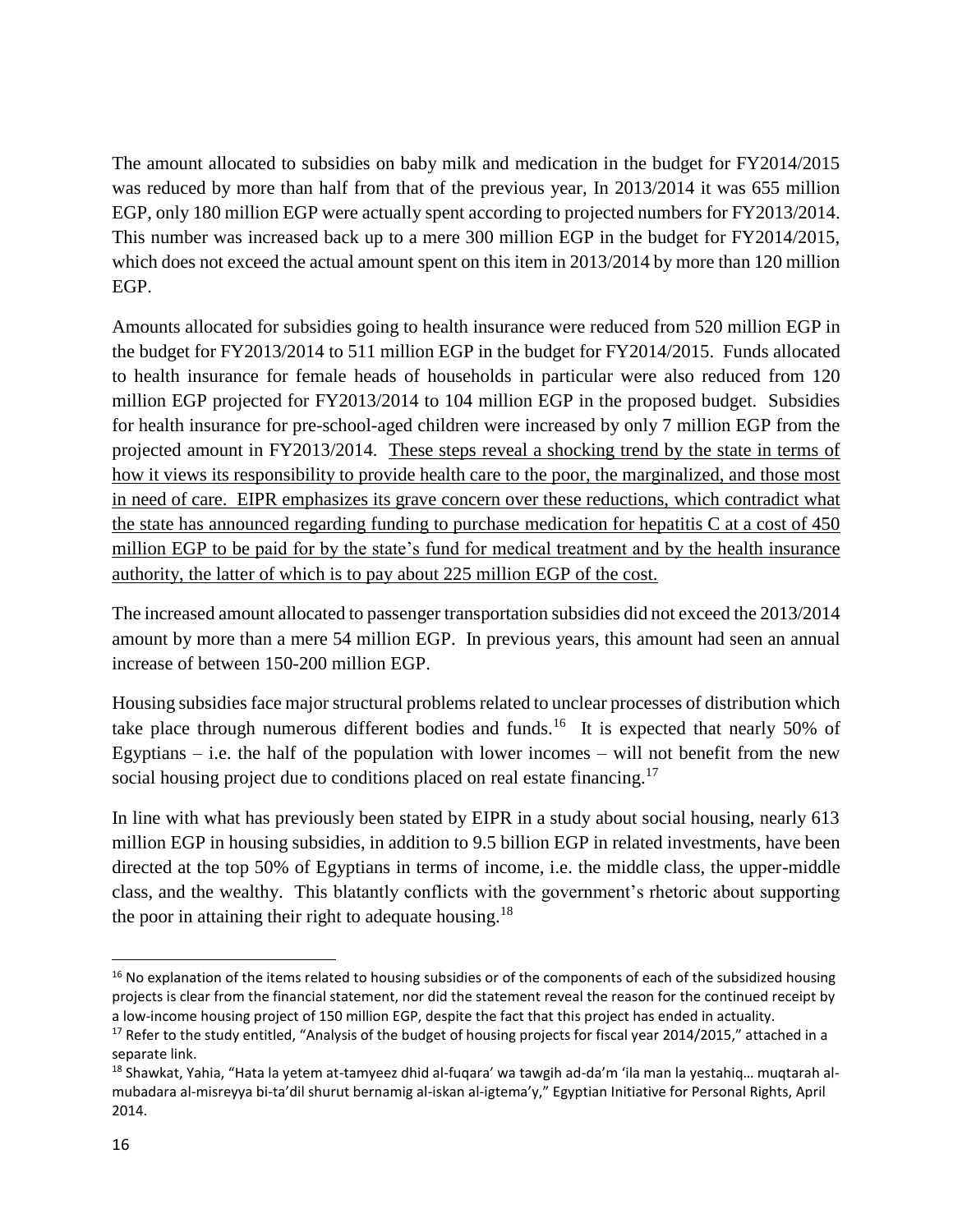The amount allocated to subsidies on baby milk and medication in the budget for FY2014/2015 was reduced by more than half from that of the previous year, In 2013/2014 it was 655 million EGP, only 180 million EGP were actually spent according to projected numbers for FY2013/2014. This number was increased back up to a mere 300 million EGP in the budget for FY2014/2015, which does not exceed the actual amount spent on this item in 2013/2014 by more than 120 million EGP.

Amounts allocated for subsidies going to health insurance were reduced from 520 million EGP in the budget for FY2013/2014 to 511 million EGP in the budget for FY2014/2015. Funds allocated to health insurance for female heads of households in particular were also reduced from 120 million EGP projected for FY2013/2014 to 104 million EGP in the proposed budget. Subsidies for health insurance for pre-school-aged children were increased by only 7 million EGP from the projected amount in FY2013/2014. These steps reveal a shocking trend by the state in terms of how it views its responsibility to provide health care to the poor, the marginalized, and those most in need of care. EIPR emphasizes its grave concern over these reductions, which contradict what the state has announced regarding funding to purchase medication for hepatitis C at a cost of 450 million EGP to be paid for by the state's fund for medical treatment and by the health insurance authority, the latter of which is to pay about 225 million EGP of the cost.

The increased amount allocated to passenger transportation subsidies did not exceed the 2013/2014 amount by more than a mere 54 million EGP. In previous years, this amount had seen an annual increase of between 150-200 million EGP.

Housing subsidies face major structural problems related to unclear processes of distribution which take place through numerous different bodies and funds.<sup>16</sup> It is expected that nearly 50% of Egyptians  $-$  i.e. the half of the population with lower incomes  $-$  will not benefit from the new social housing project due to conditions placed on real estate financing.<sup>17</sup>

In line with what has previously been stated by EIPR in a study about social housing, nearly 613 million EGP in housing subsidies, in addition to 9.5 billion EGP in related investments, have been directed at the top 50% of Egyptians in terms of income, i.e. the middle class, the upper-middle class, and the wealthy. This blatantly conflicts with the government's rhetoric about supporting the poor in attaining their right to adequate housing.<sup>18</sup>

<sup>&</sup>lt;sup>16</sup> No explanation of the items related to housing subsidies or of the components of each of the subsidized housing projects is clear from the financial statement, nor did the statement reveal the reason for the continued receipt by a low-income housing project of 150 million EGP, despite the fact that this project has ended in actuality.

<sup>&</sup>lt;sup>17</sup> Refer to the study entitled, "Analysis of the budget of housing projects for fiscal year 2014/2015," attached in a separate link.

<sup>18</sup> Shawkat, Yahia, "Hata la yetem at-tamyeez dhid al-fuqara' wa tawgih ad-da'm 'ila man la yestahiq… muqtarah almubadara al-misreyya bi-ta'dil shurut bernamig al-iskan al-igtema'y," Egyptian Initiative for Personal Rights, April 2014.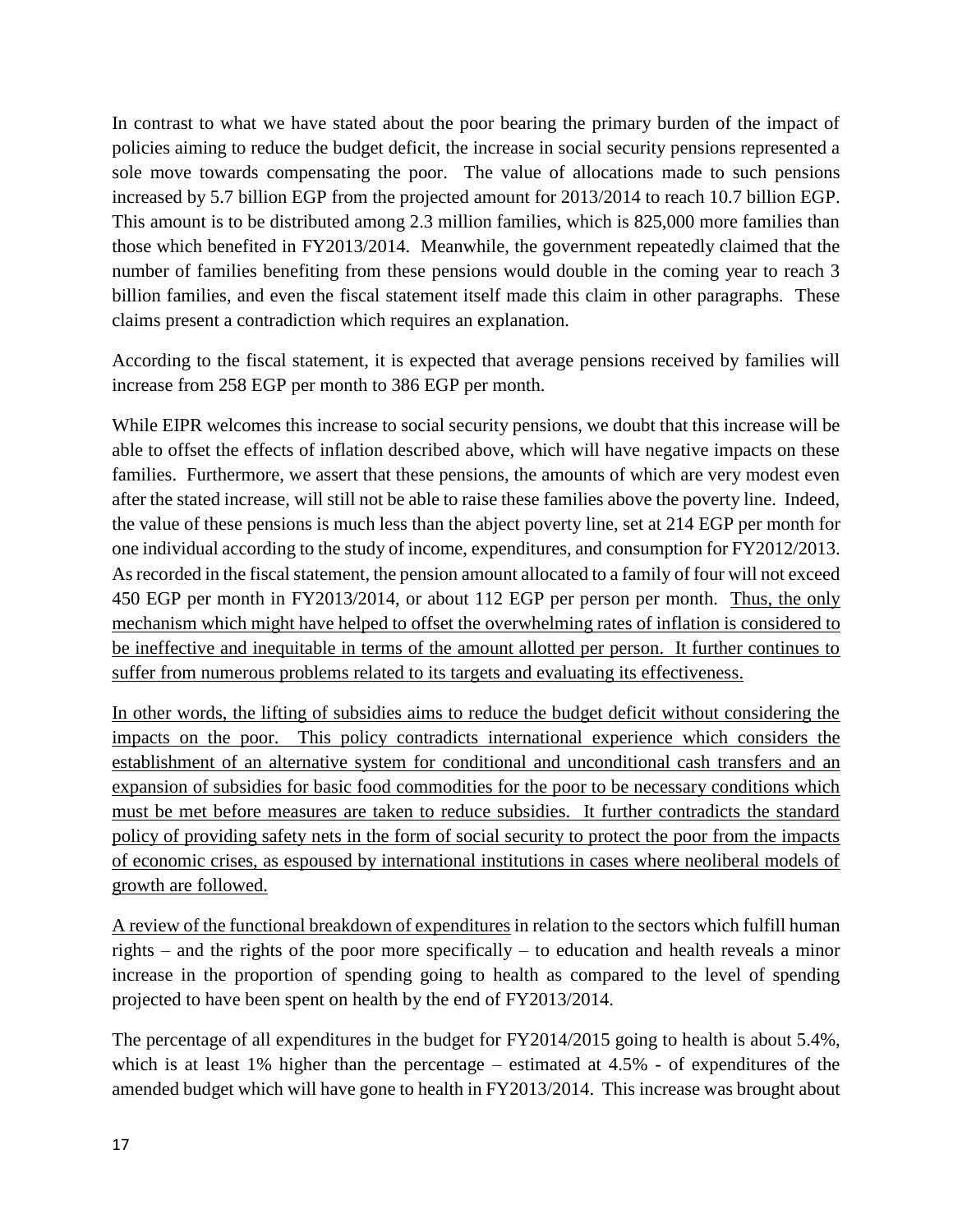In contrast to what we have stated about the poor bearing the primary burden of the impact of policies aiming to reduce the budget deficit, the increase in social security pensions represented a sole move towards compensating the poor. The value of allocations made to such pensions increased by 5.7 billion EGP from the projected amount for 2013/2014 to reach 10.7 billion EGP. This amount is to be distributed among 2.3 million families, which is 825,000 more families than those which benefited in FY2013/2014. Meanwhile, the government repeatedly claimed that the number of families benefiting from these pensions would double in the coming year to reach 3 billion families, and even the fiscal statement itself made this claim in other paragraphs. These claims present a contradiction which requires an explanation.

According to the fiscal statement, it is expected that average pensions received by families will increase from 258 EGP per month to 386 EGP per month.

While EIPR welcomes this increase to social security pensions, we doubt that this increase will be able to offset the effects of inflation described above, which will have negative impacts on these families. Furthermore, we assert that these pensions, the amounts of which are very modest even after the stated increase, will still not be able to raise these families above the poverty line. Indeed, the value of these pensions is much less than the abject poverty line, set at 214 EGP per month for one individual according to the study of income, expenditures, and consumption for FY2012/2013. As recorded in the fiscal statement, the pension amount allocated to a family of four will not exceed 450 EGP per month in FY2013/2014, or about 112 EGP per person per month. Thus, the only mechanism which might have helped to offset the overwhelming rates of inflation is considered to be ineffective and inequitable in terms of the amount allotted per person. It further continues to suffer from numerous problems related to its targets and evaluating its effectiveness.

In other words, the lifting of subsidies aims to reduce the budget deficit without considering the impacts on the poor. This policy contradicts international experience which considers the establishment of an alternative system for conditional and unconditional cash transfers and an expansion of subsidies for basic food commodities for the poor to be necessary conditions which must be met before measures are taken to reduce subsidies. It further contradicts the standard policy of providing safety nets in the form of social security to protect the poor from the impacts of economic crises, as espoused by international institutions in cases where neoliberal models of growth are followed.

A review of the functional breakdown of expenditures in relation to the sectors which fulfill human rights – and the rights of the poor more specifically – to education and health reveals a minor increase in the proportion of spending going to health as compared to the level of spending projected to have been spent on health by the end of FY2013/2014.

The percentage of all expenditures in the budget for FY2014/2015 going to health is about 5.4%, which is at least 1% higher than the percentage – estimated at 4.5% - of expenditures of the amended budget which will have gone to health in FY2013/2014. This increase was brought about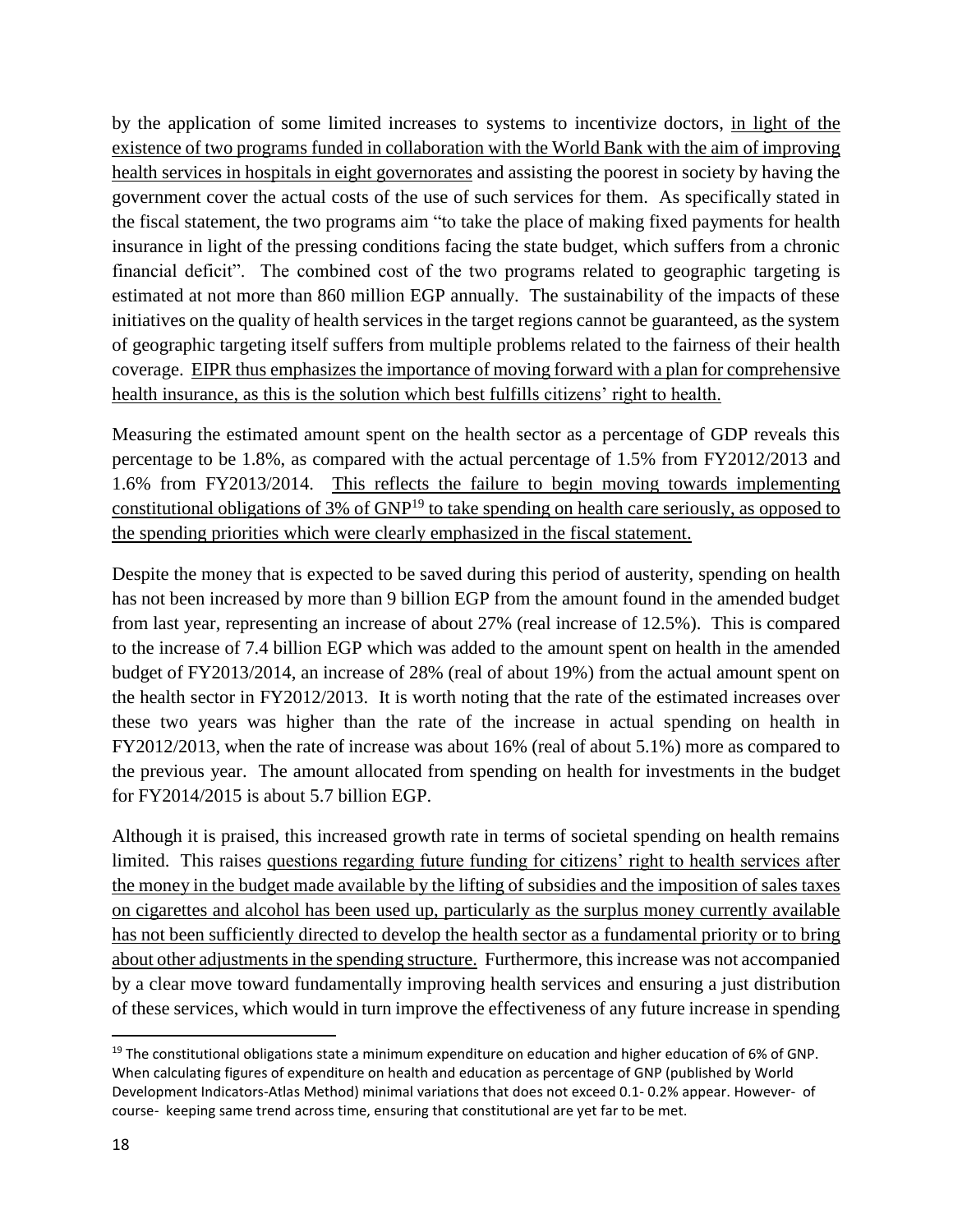by the application of some limited increases to systems to incentivize doctors, in light of the existence of two programs funded in collaboration with the World Bank with the aim of improving health services in hospitals in eight governorates and assisting the poorest in society by having the government cover the actual costs of the use of such services for them. As specifically stated in the fiscal statement, the two programs aim "to take the place of making fixed payments for health insurance in light of the pressing conditions facing the state budget, which suffers from a chronic financial deficit". The combined cost of the two programs related to geographic targeting is estimated at not more than 860 million EGP annually. The sustainability of the impacts of these initiatives on the quality of health services in the target regions cannot be guaranteed, as the system of geographic targeting itself suffers from multiple problems related to the fairness of their health coverage. EIPR thus emphasizes the importance of moving forward with a plan for comprehensive health insurance, as this is the solution which best fulfills citizens' right to health.

Measuring the estimated amount spent on the health sector as a percentage of GDP reveals this percentage to be 1.8%, as compared with the actual percentage of 1.5% from FY2012/2013 and 1.6% from FY2013/2014. This reflects the failure to begin moving towards implementing constitutional obligations of 3% of GNP<sup>19</sup> to take spending on health care seriously, as opposed to the spending priorities which were clearly emphasized in the fiscal statement.

Despite the money that is expected to be saved during this period of austerity, spending on health has not been increased by more than 9 billion EGP from the amount found in the amended budget from last year, representing an increase of about 27% (real increase of 12.5%). This is compared to the increase of 7.4 billion EGP which was added to the amount spent on health in the amended budget of FY2013/2014, an increase of 28% (real of about 19%) from the actual amount spent on the health sector in FY2012/2013. It is worth noting that the rate of the estimated increases over these two years was higher than the rate of the increase in actual spending on health in FY2012/2013, when the rate of increase was about 16% (real of about 5.1%) more as compared to the previous year. The amount allocated from spending on health for investments in the budget for FY2014/2015 is about 5.7 billion EGP.

Although it is praised, this increased growth rate in terms of societal spending on health remains limited. This raises questions regarding future funding for citizens' right to health services after the money in the budget made available by the lifting of subsidies and the imposition of sales taxes on cigarettes and alcohol has been used up, particularly as the surplus money currently available has not been sufficiently directed to develop the health sector as a fundamental priority or to bring about other adjustments in the spending structure. Furthermore, this increase was not accompanied by a clear move toward fundamentally improving health services and ensuring a just distribution of these services, which would in turn improve the effectiveness of any future increase in spending

 $\overline{a}$ 

<sup>&</sup>lt;sup>19</sup> The constitutional obligations state a minimum expenditure on education and higher education of 6% of GNP. When calculating figures of expenditure on health and education as percentage of GNP (published by World Development Indicators-Atlas Method) minimal variations that does not exceed 0.1- 0.2% appear. However- of course- keeping same trend across time, ensuring that constitutional are yet far to be met.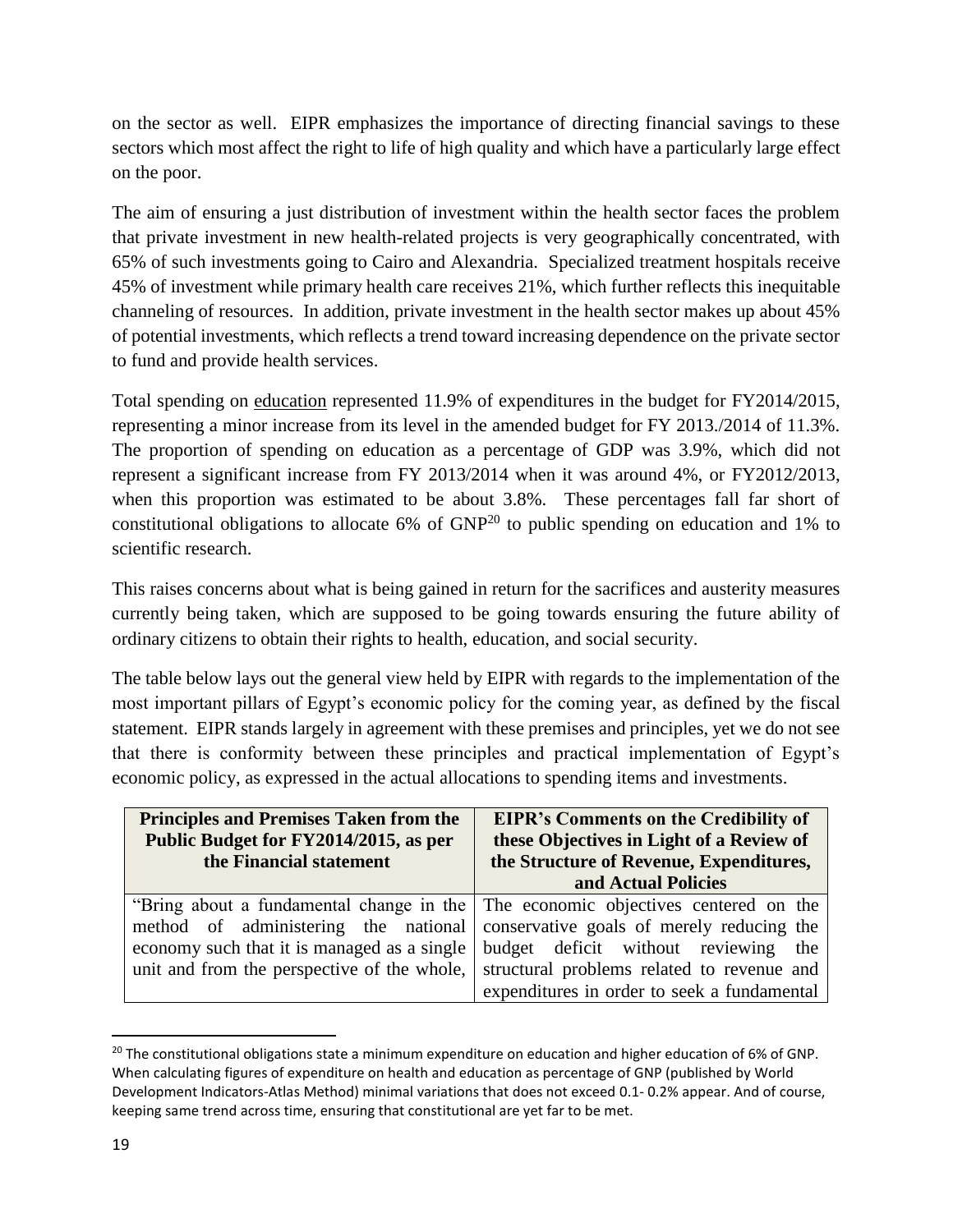on the sector as well. EIPR emphasizes the importance of directing financial savings to these sectors which most affect the right to life of high quality and which have a particularly large effect on the poor.

The aim of ensuring a just distribution of investment within the health sector faces the problem that private investment in new health-related projects is very geographically concentrated, with 65% of such investments going to Cairo and Alexandria. Specialized treatment hospitals receive 45% of investment while primary health care receives 21%, which further reflects this inequitable channeling of resources. In addition, private investment in the health sector makes up about 45% of potential investments, which reflects a trend toward increasing dependence on the private sector to fund and provide health services.

Total spending on education represented 11.9% of expenditures in the budget for FY2014/2015, representing a minor increase from its level in the amended budget for FY 2013./2014 of 11.3%. The proportion of spending on education as a percentage of GDP was 3.9%, which did not represent a significant increase from FY 2013/2014 when it was around 4%, or FY2012/2013, when this proportion was estimated to be about 3.8%. These percentages fall far short of constitutional obligations to allocate 6% of  $GNP<sup>20</sup>$  to public spending on education and 1% to scientific research.

This raises concerns about what is being gained in return for the sacrifices and austerity measures currently being taken, which are supposed to be going towards ensuring the future ability of ordinary citizens to obtain their rights to health, education, and social security.

The table below lays out the general view held by EIPR with regards to the implementation of the most important pillars of Egypt's economic policy for the coming year, as defined by the fiscal statement. EIPR stands largely in agreement with these premises and principles, yet we do not see that there is conformity between these principles and practical implementation of Egypt's economic policy, as expressed in the actual allocations to spending items and investments.

| <b>Principles and Premises Taken from the</b>                                                                                                                                                                                                                                                               | <b>EIPR's Comments on the Credibility of</b>                                                               |
|-------------------------------------------------------------------------------------------------------------------------------------------------------------------------------------------------------------------------------------------------------------------------------------------------------------|------------------------------------------------------------------------------------------------------------|
| Public Budget for FY2014/2015, as per                                                                                                                                                                                                                                                                       | these Objectives in Light of a Review of                                                                   |
| the Financial statement                                                                                                                                                                                                                                                                                     | the Structure of Revenue, Expenditures,                                                                    |
| "Bring about a fundamental change in the The economic objectives centered on the<br>method of administering the national conservative goals of merely reducing the<br>economy such that it is managed as a single<br>unit and from the perspective of the whole, structural problems related to revenue and | and Actual Policies<br>budget deficit without reviewing the<br>expenditures in order to seek a fundamental |

<sup>&</sup>lt;sup>20</sup> The constitutional obligations state a minimum expenditure on education and higher education of 6% of GNP. When calculating figures of expenditure on health and education as percentage of GNP (published by World Development Indicators-Atlas Method) minimal variations that does not exceed 0.1- 0.2% appear. And of course, keeping same trend across time, ensuring that constitutional are yet far to be met.

 $\overline{a}$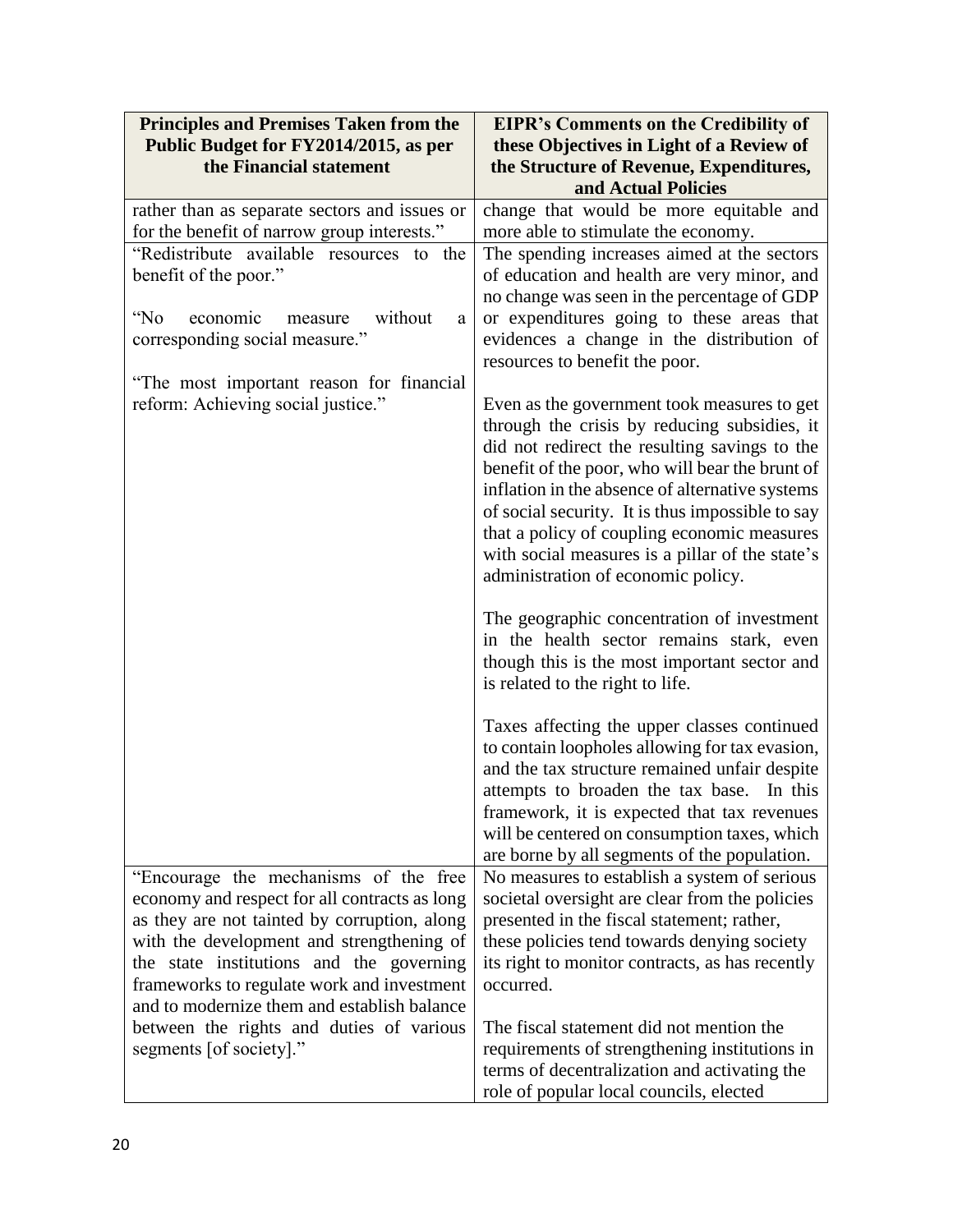| <b>Principles and Premises Taken from the</b> | <b>EIPR's Comments on the Credibility of</b>                                                       |
|-----------------------------------------------|----------------------------------------------------------------------------------------------------|
| Public Budget for FY2014/2015, as per         | these Objectives in Light of a Review of                                                           |
| the Financial statement                       | the Structure of Revenue, Expenditures,                                                            |
|                                               | and Actual Policies                                                                                |
| rather than as separate sectors and issues or | change that would be more equitable and                                                            |
| for the benefit of narrow group interests."   | more able to stimulate the economy.                                                                |
| "Redistribute available resources to<br>the   | The spending increases aimed at the sectors                                                        |
| benefit of the poor."                         | of education and health are very minor, and                                                        |
|                                               | no change was seen in the percentage of GDP                                                        |
| "No<br>economic<br>without<br>measure<br>a    | or expenditures going to these areas that                                                          |
| corresponding social measure."                | evidences a change in the distribution of                                                          |
|                                               | resources to benefit the poor.                                                                     |
| "The most important reason for financial"     |                                                                                                    |
| reform: Achieving social justice."            | Even as the government took measures to get                                                        |
|                                               | through the crisis by reducing subsidies, it                                                       |
|                                               | did not redirect the resulting savings to the                                                      |
|                                               | benefit of the poor, who will bear the brunt of<br>inflation in the absence of alternative systems |
|                                               | of social security. It is thus impossible to say                                                   |
|                                               | that a policy of coupling economic measures                                                        |
|                                               | with social measures is a pillar of the state's                                                    |
|                                               | administration of economic policy.                                                                 |
|                                               |                                                                                                    |
|                                               | The geographic concentration of investment                                                         |
|                                               | in the health sector remains stark, even                                                           |
|                                               | though this is the most important sector and                                                       |
|                                               | is related to the right to life.                                                                   |
|                                               |                                                                                                    |
|                                               | Taxes affecting the upper classes continued                                                        |
|                                               | to contain loopholes allowing for tax evasion,<br>and the tax structure remained unfair despite    |
|                                               | attempts to broaden the tax base. In this                                                          |
|                                               | framework, it is expected that tax revenues                                                        |
|                                               | will be centered on consumption taxes, which                                                       |
|                                               | are borne by all segments of the population.                                                       |
| "Encourage the mechanisms of the free         | No measures to establish a system of serious                                                       |
| economy and respect for all contracts as long | societal oversight are clear from the policies                                                     |
| as they are not tainted by corruption, along  | presented in the fiscal statement; rather,                                                         |
| with the development and strengthening of     | these policies tend towards denying society                                                        |
| the state institutions and the governing      | its right to monitor contracts, as has recently                                                    |
| frameworks to regulate work and investment    | occurred.                                                                                          |
| and to modernize them and establish balance   |                                                                                                    |
| between the rights and duties of various      | The fiscal statement did not mention the                                                           |
| segments [of society]."                       | requirements of strengthening institutions in                                                      |
|                                               | terms of decentralization and activating the                                                       |
|                                               | role of popular local councils, elected                                                            |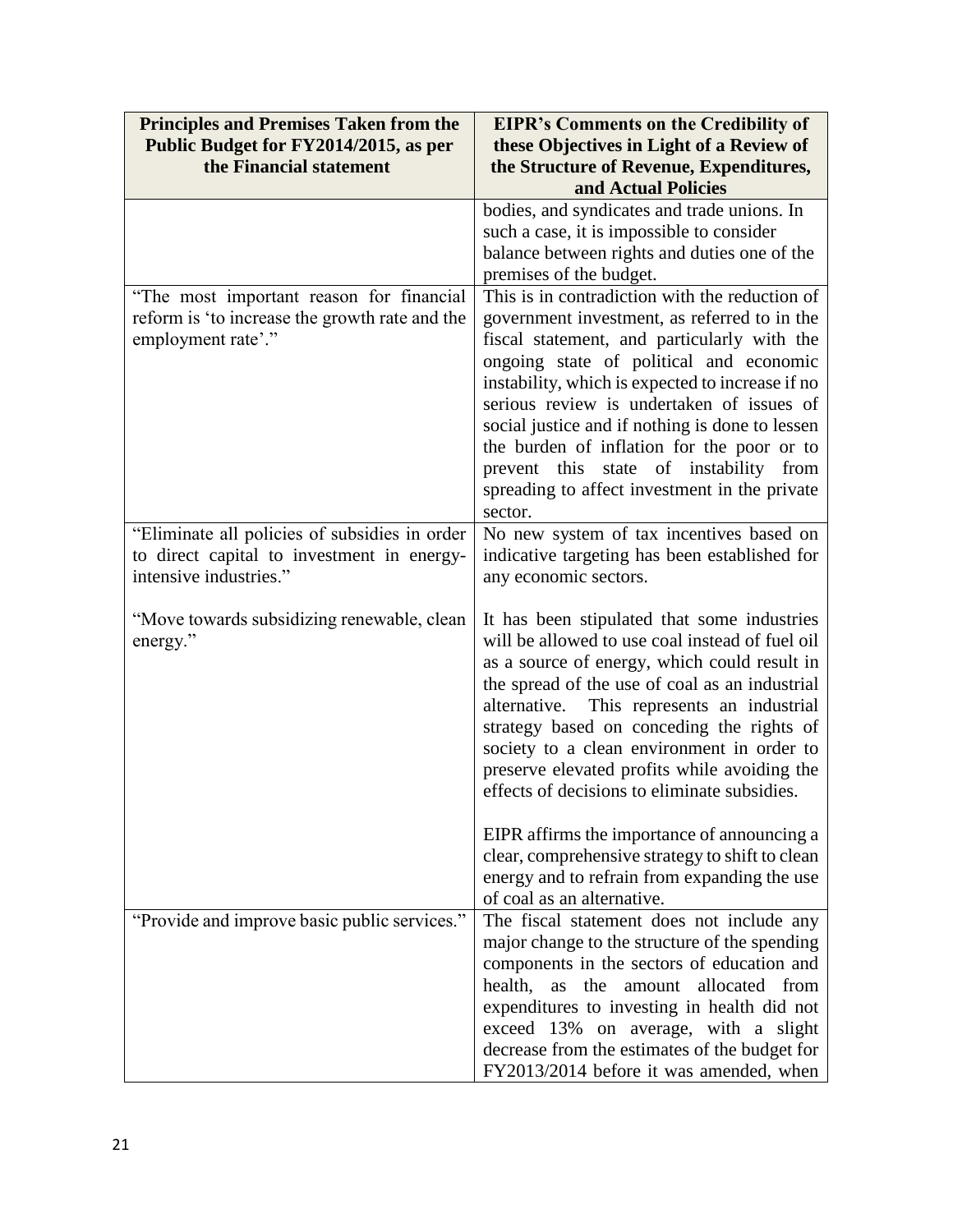| <b>Principles and Premises Taken from the</b>                                                                         | <b>EIPR's Comments on the Credibility of</b>                                                                                                                                                                                                                                                                                                                                                                                                                                                                                                   |
|-----------------------------------------------------------------------------------------------------------------------|------------------------------------------------------------------------------------------------------------------------------------------------------------------------------------------------------------------------------------------------------------------------------------------------------------------------------------------------------------------------------------------------------------------------------------------------------------------------------------------------------------------------------------------------|
| Public Budget for FY2014/2015, as per                                                                                 | these Objectives in Light of a Review of                                                                                                                                                                                                                                                                                                                                                                                                                                                                                                       |
| the Financial statement                                                                                               | the Structure of Revenue, Expenditures,                                                                                                                                                                                                                                                                                                                                                                                                                                                                                                        |
|                                                                                                                       | and Actual Policies                                                                                                                                                                                                                                                                                                                                                                                                                                                                                                                            |
|                                                                                                                       | bodies, and syndicates and trade unions. In<br>such a case, it is impossible to consider<br>balance between rights and duties one of the                                                                                                                                                                                                                                                                                                                                                                                                       |
| "The most important reason for financial<br>reform is 'to increase the growth rate and the<br>employment rate'."      | premises of the budget.<br>This is in contradiction with the reduction of<br>government investment, as referred to in the<br>fiscal statement, and particularly with the<br>ongoing state of political and economic<br>instability, which is expected to increase if no<br>serious review is undertaken of issues of<br>social justice and if nothing is done to lessen<br>the burden of inflation for the poor or to<br>state of instability<br>prevent this<br>from<br>spreading to affect investment in the private                         |
| "Eliminate all policies of subsidies in order<br>to direct capital to investment in energy-<br>intensive industries." | sector.<br>No new system of tax incentives based on<br>indicative targeting has been established for<br>any economic sectors.                                                                                                                                                                                                                                                                                                                                                                                                                  |
| "Move towards subsidizing renewable, clean<br>energy."                                                                | It has been stipulated that some industries<br>will be allowed to use coal instead of fuel oil<br>as a source of energy, which could result in<br>the spread of the use of coal as an industrial<br>This represents an industrial<br>alternative.<br>strategy based on conceding the rights of<br>society to a clean environment in order to<br>preserve elevated profits while avoiding the<br>effects of decisions to eliminate subsidies.<br>EIPR affirms the importance of announcing a<br>clear, comprehensive strategy to shift to clean |
|                                                                                                                       | energy and to refrain from expanding the use<br>of coal as an alternative.                                                                                                                                                                                                                                                                                                                                                                                                                                                                     |
| "Provide and improve basic public services."                                                                          | The fiscal statement does not include any<br>major change to the structure of the spending<br>components in the sectors of education and<br>health,<br>the<br>allocated from<br>as<br>amount<br>expenditures to investing in health did not<br>exceed 13% on average, with a slight<br>decrease from the estimates of the budget for<br>FY2013/2014 before it was amended, when                                                                                                                                                                |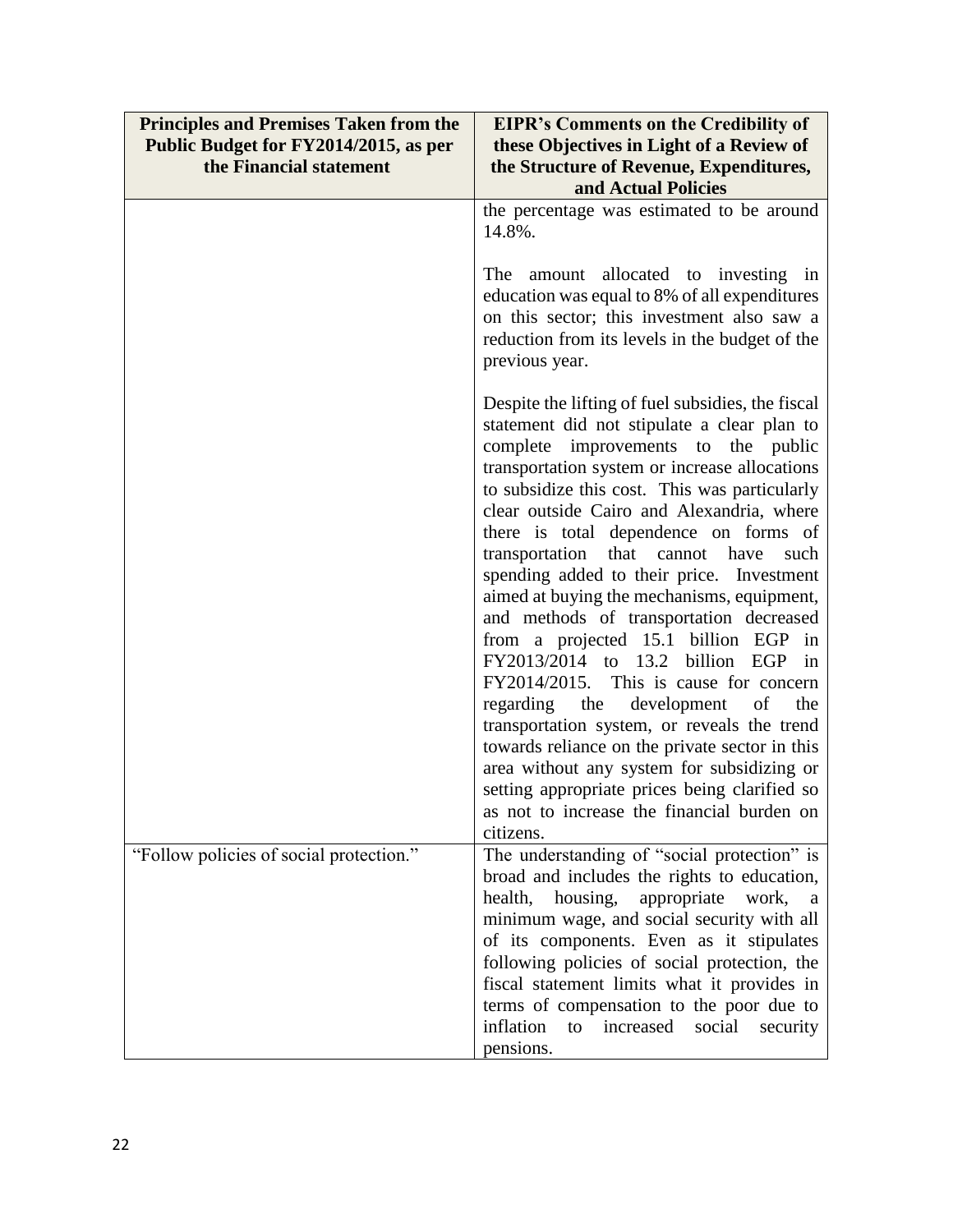| <b>Principles and Premises Taken from the</b><br>Public Budget for FY2014/2015, as per | <b>EIPR's Comments on the Credibility of</b><br>these Objectives in Light of a Review of                                                                                                                                                                                                                                                                                                                                                                                                                                                                                                                                                                                                                                                                                                                                                                                                                                                            |
|----------------------------------------------------------------------------------------|-----------------------------------------------------------------------------------------------------------------------------------------------------------------------------------------------------------------------------------------------------------------------------------------------------------------------------------------------------------------------------------------------------------------------------------------------------------------------------------------------------------------------------------------------------------------------------------------------------------------------------------------------------------------------------------------------------------------------------------------------------------------------------------------------------------------------------------------------------------------------------------------------------------------------------------------------------|
| the Financial statement                                                                | the Structure of Revenue, Expenditures,<br>and Actual Policies                                                                                                                                                                                                                                                                                                                                                                                                                                                                                                                                                                                                                                                                                                                                                                                                                                                                                      |
|                                                                                        | the percentage was estimated to be around<br>14.8%.                                                                                                                                                                                                                                                                                                                                                                                                                                                                                                                                                                                                                                                                                                                                                                                                                                                                                                 |
|                                                                                        | The amount allocated to investing in<br>education was equal to 8% of all expenditures<br>on this sector; this investment also saw a<br>reduction from its levels in the budget of the<br>previous year.                                                                                                                                                                                                                                                                                                                                                                                                                                                                                                                                                                                                                                                                                                                                             |
|                                                                                        | Despite the lifting of fuel subsidies, the fiscal<br>statement did not stipulate a clear plan to<br>complete improvements to the public<br>transportation system or increase allocations<br>to subsidize this cost. This was particularly<br>clear outside Cairo and Alexandria, where<br>there is total dependence on forms of<br>transportation<br>that<br>cannot have<br>such<br>spending added to their price. Investment<br>aimed at buying the mechanisms, equipment,<br>and methods of transportation decreased<br>from a projected 15.1 billion EGP in<br>FY2013/2014 to 13.2 billion EGP in<br>FY2014/2015. This is cause for concern<br>regarding the development<br>of<br>the<br>transportation system, or reveals the trend<br>towards reliance on the private sector in this<br>area without any system for subsidizing or<br>setting appropriate prices being clarified so<br>as not to increase the financial burden on<br>citizens. |
| "Follow policies of social protection."                                                | The understanding of "social protection" is                                                                                                                                                                                                                                                                                                                                                                                                                                                                                                                                                                                                                                                                                                                                                                                                                                                                                                         |
|                                                                                        | broad and includes the rights to education,<br>housing,<br>appropriate<br>health,<br>work,<br><sub>a</sub>                                                                                                                                                                                                                                                                                                                                                                                                                                                                                                                                                                                                                                                                                                                                                                                                                                          |
|                                                                                        | minimum wage, and social security with all                                                                                                                                                                                                                                                                                                                                                                                                                                                                                                                                                                                                                                                                                                                                                                                                                                                                                                          |
|                                                                                        | of its components. Even as it stipulates                                                                                                                                                                                                                                                                                                                                                                                                                                                                                                                                                                                                                                                                                                                                                                                                                                                                                                            |
|                                                                                        | following policies of social protection, the                                                                                                                                                                                                                                                                                                                                                                                                                                                                                                                                                                                                                                                                                                                                                                                                                                                                                                        |
|                                                                                        | fiscal statement limits what it provides in                                                                                                                                                                                                                                                                                                                                                                                                                                                                                                                                                                                                                                                                                                                                                                                                                                                                                                         |
|                                                                                        | terms of compensation to the poor due to                                                                                                                                                                                                                                                                                                                                                                                                                                                                                                                                                                                                                                                                                                                                                                                                                                                                                                            |
|                                                                                        | inflation<br>social<br>to<br>increased<br>security<br>pensions.                                                                                                                                                                                                                                                                                                                                                                                                                                                                                                                                                                                                                                                                                                                                                                                                                                                                                     |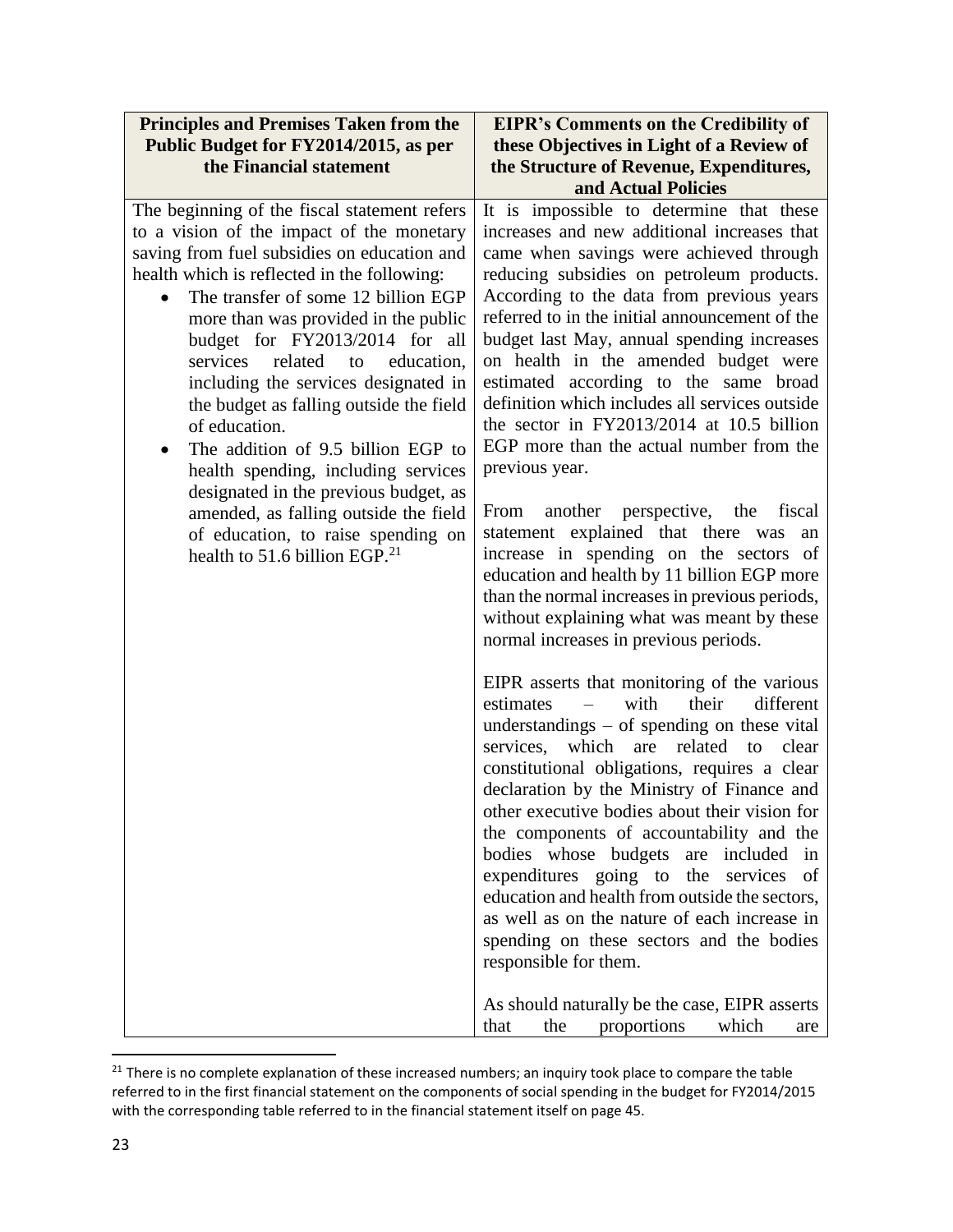| <b>Principles and Premises Taken from the</b>                                                                                                                                                                                                                                                                                                                                                                                                                                                                                                                                                                                                                                                    | <b>EIPR's Comments on the Credibility of</b>                                                                                                                                                                                                                                                                                                                                                                                                                                                                                                                                                                                                                                                                                                                                                                                                                                                                                                                                                                                                                                                                                                                                                                                                                                                                                                                                                                                                                                                                                                                                                                                                                           |
|--------------------------------------------------------------------------------------------------------------------------------------------------------------------------------------------------------------------------------------------------------------------------------------------------------------------------------------------------------------------------------------------------------------------------------------------------------------------------------------------------------------------------------------------------------------------------------------------------------------------------------------------------------------------------------------------------|------------------------------------------------------------------------------------------------------------------------------------------------------------------------------------------------------------------------------------------------------------------------------------------------------------------------------------------------------------------------------------------------------------------------------------------------------------------------------------------------------------------------------------------------------------------------------------------------------------------------------------------------------------------------------------------------------------------------------------------------------------------------------------------------------------------------------------------------------------------------------------------------------------------------------------------------------------------------------------------------------------------------------------------------------------------------------------------------------------------------------------------------------------------------------------------------------------------------------------------------------------------------------------------------------------------------------------------------------------------------------------------------------------------------------------------------------------------------------------------------------------------------------------------------------------------------------------------------------------------------------------------------------------------------|
| Public Budget for FY2014/2015, as per                                                                                                                                                                                                                                                                                                                                                                                                                                                                                                                                                                                                                                                            | these Objectives in Light of a Review of                                                                                                                                                                                                                                                                                                                                                                                                                                                                                                                                                                                                                                                                                                                                                                                                                                                                                                                                                                                                                                                                                                                                                                                                                                                                                                                                                                                                                                                                                                                                                                                                                               |
| the Financial statement                                                                                                                                                                                                                                                                                                                                                                                                                                                                                                                                                                                                                                                                          | the Structure of Revenue, Expenditures,                                                                                                                                                                                                                                                                                                                                                                                                                                                                                                                                                                                                                                                                                                                                                                                                                                                                                                                                                                                                                                                                                                                                                                                                                                                                                                                                                                                                                                                                                                                                                                                                                                |
|                                                                                                                                                                                                                                                                                                                                                                                                                                                                                                                                                                                                                                                                                                  | and Actual Policies                                                                                                                                                                                                                                                                                                                                                                                                                                                                                                                                                                                                                                                                                                                                                                                                                                                                                                                                                                                                                                                                                                                                                                                                                                                                                                                                                                                                                                                                                                                                                                                                                                                    |
| The beginning of the fiscal statement refers<br>to a vision of the impact of the monetary<br>saving from fuel subsidies on education and<br>health which is reflected in the following:<br>The transfer of some 12 billion EGP<br>more than was provided in the public<br>budget for FY2013/2014 for all<br>related to<br>education,<br>services<br>including the services designated in<br>the budget as falling outside the field<br>of education.<br>The addition of 9.5 billion EGP to<br>health spending, including services<br>designated in the previous budget, as<br>amended, as falling outside the field<br>of education, to raise spending on<br>health to 51.6 billion EGP. $^{21}$ | It is impossible to determine that these<br>increases and new additional increases that<br>came when savings were achieved through<br>reducing subsidies on petroleum products.<br>According to the data from previous years<br>referred to in the initial announcement of the<br>budget last May, annual spending increases<br>on health in the amended budget were<br>estimated according to the same broad<br>definition which includes all services outside<br>the sector in FY2013/2014 at 10.5 billion<br>EGP more than the actual number from the<br>previous year.<br>another perspective, the fiscal<br>From<br>statement explained that there was<br>an<br>increase in spending on the sectors of<br>education and health by 11 billion EGP more<br>than the normal increases in previous periods,<br>without explaining what was meant by these<br>normal increases in previous periods.<br>EIPR asserts that monitoring of the various<br>with<br>their<br>different<br>estimates<br>$\equiv$<br>understandings $-$ of spending on these vital<br>which<br>related<br>services,<br>are<br>to<br>clear<br>constitutional obligations, requires a clear<br>declaration by the Ministry of Finance and<br>other executive bodies about their vision for<br>the components of accountability and the<br>bodies whose budgets are included in<br>expenditures going to the services<br>of<br>education and health from outside the sectors,<br>as well as on the nature of each increase in<br>spending on these sectors and the bodies<br>responsible for them.<br>As should naturally be the case, EIPR asserts<br>which<br>the<br>proportions<br>that<br>are |

<sup>&</sup>lt;sup>21</sup> There is no complete explanation of these increased numbers; an inquiry took place to compare the table referred to in the first financial statement on the components of social spending in the budget for FY2014/2015 with the corresponding table referred to in the financial statement itself on page 45.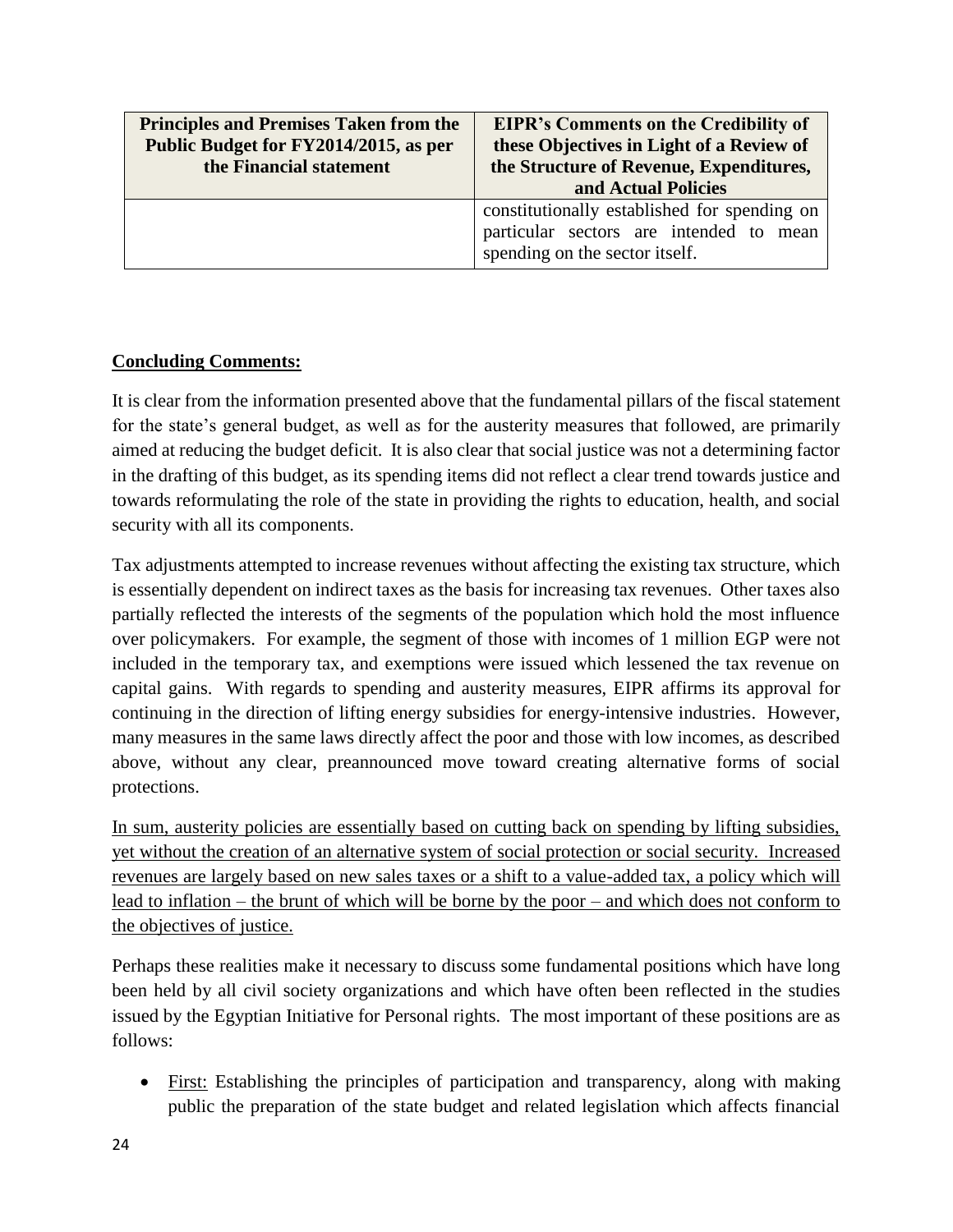| <b>Principles and Premises Taken from the</b><br>Public Budget for FY2014/2015, as per<br>the Financial statement | <b>EIPR's Comments on the Credibility of</b><br>these Objectives in Light of a Review of<br>the Structure of Revenue, Expenditures, |
|-------------------------------------------------------------------------------------------------------------------|-------------------------------------------------------------------------------------------------------------------------------------|
|                                                                                                                   | and Actual Policies                                                                                                                 |
|                                                                                                                   | constitutionally established for spending on<br>particular sectors are intended to mean<br>spending on the sector itself.           |

# **Concluding Comments:**

It is clear from the information presented above that the fundamental pillars of the fiscal statement for the state's general budget, as well as for the austerity measures that followed, are primarily aimed at reducing the budget deficit. It is also clear that social justice was not a determining factor in the drafting of this budget, as its spending items did not reflect a clear trend towards justice and towards reformulating the role of the state in providing the rights to education, health, and social security with all its components.

Tax adjustments attempted to increase revenues without affecting the existing tax structure, which is essentially dependent on indirect taxes as the basis for increasing tax revenues. Other taxes also partially reflected the interests of the segments of the population which hold the most influence over policymakers. For example, the segment of those with incomes of 1 million EGP were not included in the temporary tax, and exemptions were issued which lessened the tax revenue on capital gains. With regards to spending and austerity measures, EIPR affirms its approval for continuing in the direction of lifting energy subsidies for energy-intensive industries. However, many measures in the same laws directly affect the poor and those with low incomes, as described above, without any clear, preannounced move toward creating alternative forms of social protections.

In sum, austerity policies are essentially based on cutting back on spending by lifting subsidies, yet without the creation of an alternative system of social protection or social security. Increased revenues are largely based on new sales taxes or a shift to a value-added tax, a policy which will lead to inflation – the brunt of which will be borne by the poor – and which does not conform to the objectives of justice.

Perhaps these realities make it necessary to discuss some fundamental positions which have long been held by all civil society organizations and which have often been reflected in the studies issued by the Egyptian Initiative for Personal rights. The most important of these positions are as follows:

 First: Establishing the principles of participation and transparency, along with making public the preparation of the state budget and related legislation which affects financial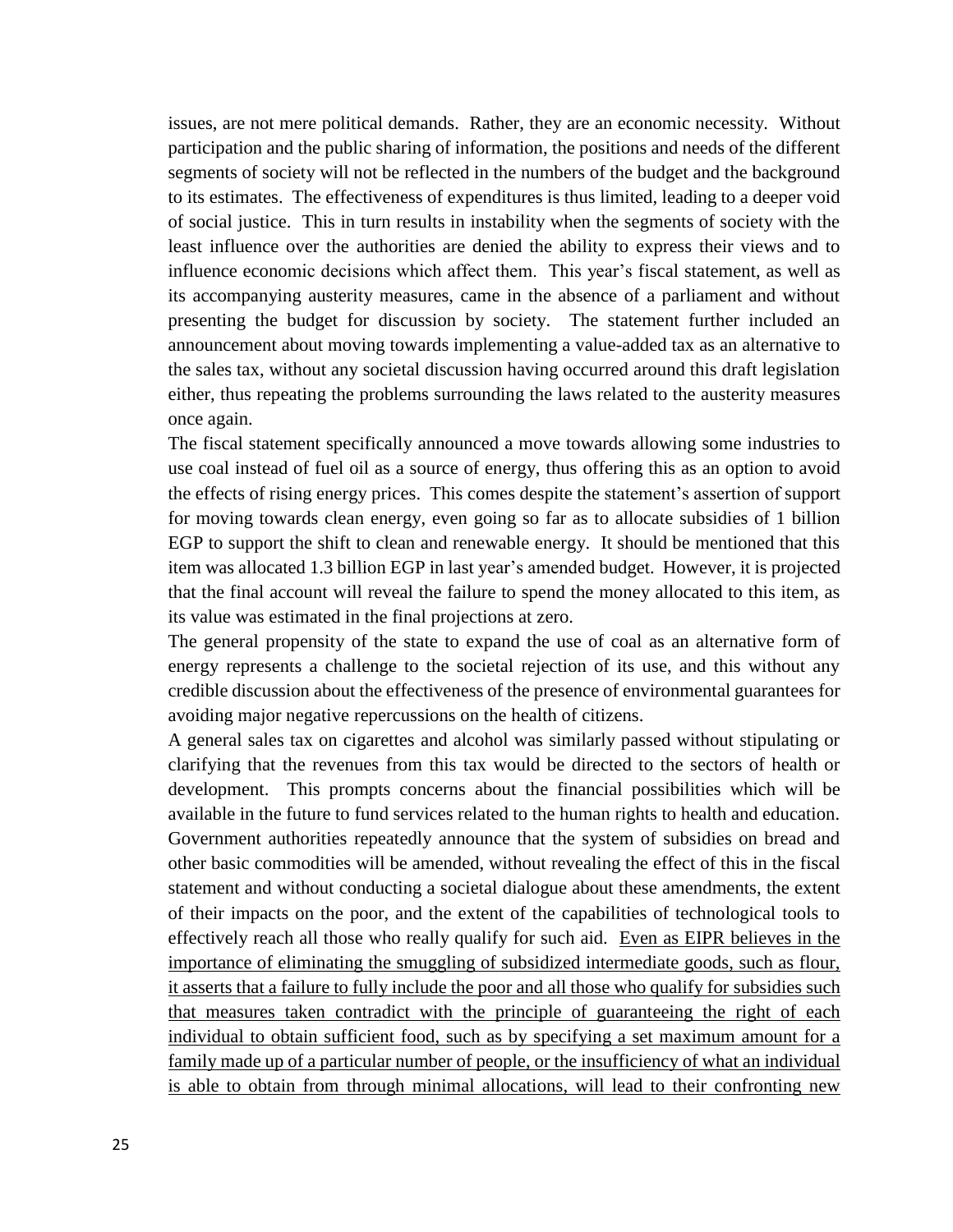issues, are not mere political demands. Rather, they are an economic necessity. Without participation and the public sharing of information, the positions and needs of the different segments of society will not be reflected in the numbers of the budget and the background to its estimates. The effectiveness of expenditures is thus limited, leading to a deeper void of social justice. This in turn results in instability when the segments of society with the least influence over the authorities are denied the ability to express their views and to influence economic decisions which affect them. This year's fiscal statement, as well as its accompanying austerity measures, came in the absence of a parliament and without presenting the budget for discussion by society. The statement further included an announcement about moving towards implementing a value-added tax as an alternative to the sales tax, without any societal discussion having occurred around this draft legislation either, thus repeating the problems surrounding the laws related to the austerity measures once again.

The fiscal statement specifically announced a move towards allowing some industries to use coal instead of fuel oil as a source of energy, thus offering this as an option to avoid the effects of rising energy prices. This comes despite the statement's assertion of support for moving towards clean energy, even going so far as to allocate subsidies of 1 billion EGP to support the shift to clean and renewable energy. It should be mentioned that this item was allocated 1.3 billion EGP in last year's amended budget. However, it is projected that the final account will reveal the failure to spend the money allocated to this item, as its value was estimated in the final projections at zero.

The general propensity of the state to expand the use of coal as an alternative form of energy represents a challenge to the societal rejection of its use, and this without any credible discussion about the effectiveness of the presence of environmental guarantees for avoiding major negative repercussions on the health of citizens.

A general sales tax on cigarettes and alcohol was similarly passed without stipulating or clarifying that the revenues from this tax would be directed to the sectors of health or development. This prompts concerns about the financial possibilities which will be available in the future to fund services related to the human rights to health and education. Government authorities repeatedly announce that the system of subsidies on bread and other basic commodities will be amended, without revealing the effect of this in the fiscal statement and without conducting a societal dialogue about these amendments, the extent of their impacts on the poor, and the extent of the capabilities of technological tools to effectively reach all those who really qualify for such aid. Even as EIPR believes in the importance of eliminating the smuggling of subsidized intermediate goods, such as flour, it asserts that a failure to fully include the poor and all those who qualify for subsidies such that measures taken contradict with the principle of guaranteeing the right of each individual to obtain sufficient food, such as by specifying a set maximum amount for a family made up of a particular number of people, or the insufficiency of what an individual is able to obtain from through minimal allocations, will lead to their confronting new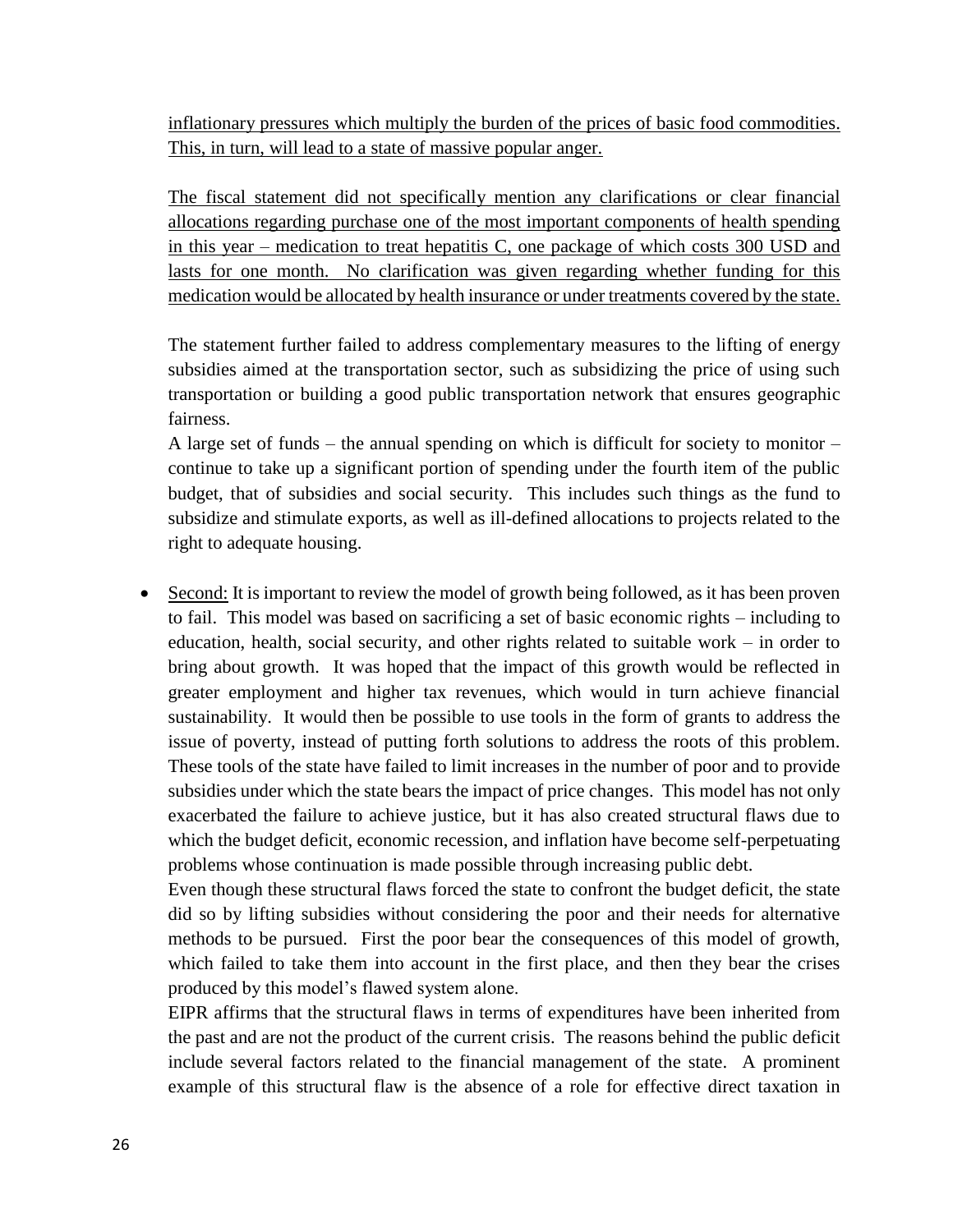inflationary pressures which multiply the burden of the prices of basic food commodities. This, in turn, will lead to a state of massive popular anger.

The fiscal statement did not specifically mention any clarifications or clear financial allocations regarding purchase one of the most important components of health spending in this year – medication to treat hepatitis C, one package of which costs 300 USD and lasts for one month. No clarification was given regarding whether funding for this medication would be allocated by health insurance or under treatments covered by the state.

The statement further failed to address complementary measures to the lifting of energy subsidies aimed at the transportation sector, such as subsidizing the price of using such transportation or building a good public transportation network that ensures geographic fairness.

A large set of funds – the annual spending on which is difficult for society to monitor – continue to take up a significant portion of spending under the fourth item of the public budget, that of subsidies and social security. This includes such things as the fund to subsidize and stimulate exports, as well as ill-defined allocations to projects related to the right to adequate housing.

 Second: It is important to review the model of growth being followed, as it has been proven to fail. This model was based on sacrificing a set of basic economic rights – including to education, health, social security, and other rights related to suitable work – in order to bring about growth. It was hoped that the impact of this growth would be reflected in greater employment and higher tax revenues, which would in turn achieve financial sustainability. It would then be possible to use tools in the form of grants to address the issue of poverty, instead of putting forth solutions to address the roots of this problem. These tools of the state have failed to limit increases in the number of poor and to provide subsidies under which the state bears the impact of price changes. This model has not only exacerbated the failure to achieve justice, but it has also created structural flaws due to which the budget deficit, economic recession, and inflation have become self-perpetuating problems whose continuation is made possible through increasing public debt.

Even though these structural flaws forced the state to confront the budget deficit, the state did so by lifting subsidies without considering the poor and their needs for alternative methods to be pursued. First the poor bear the consequences of this model of growth, which failed to take them into account in the first place, and then they bear the crises produced by this model's flawed system alone.

EIPR affirms that the structural flaws in terms of expenditures have been inherited from the past and are not the product of the current crisis. The reasons behind the public deficit include several factors related to the financial management of the state. A prominent example of this structural flaw is the absence of a role for effective direct taxation in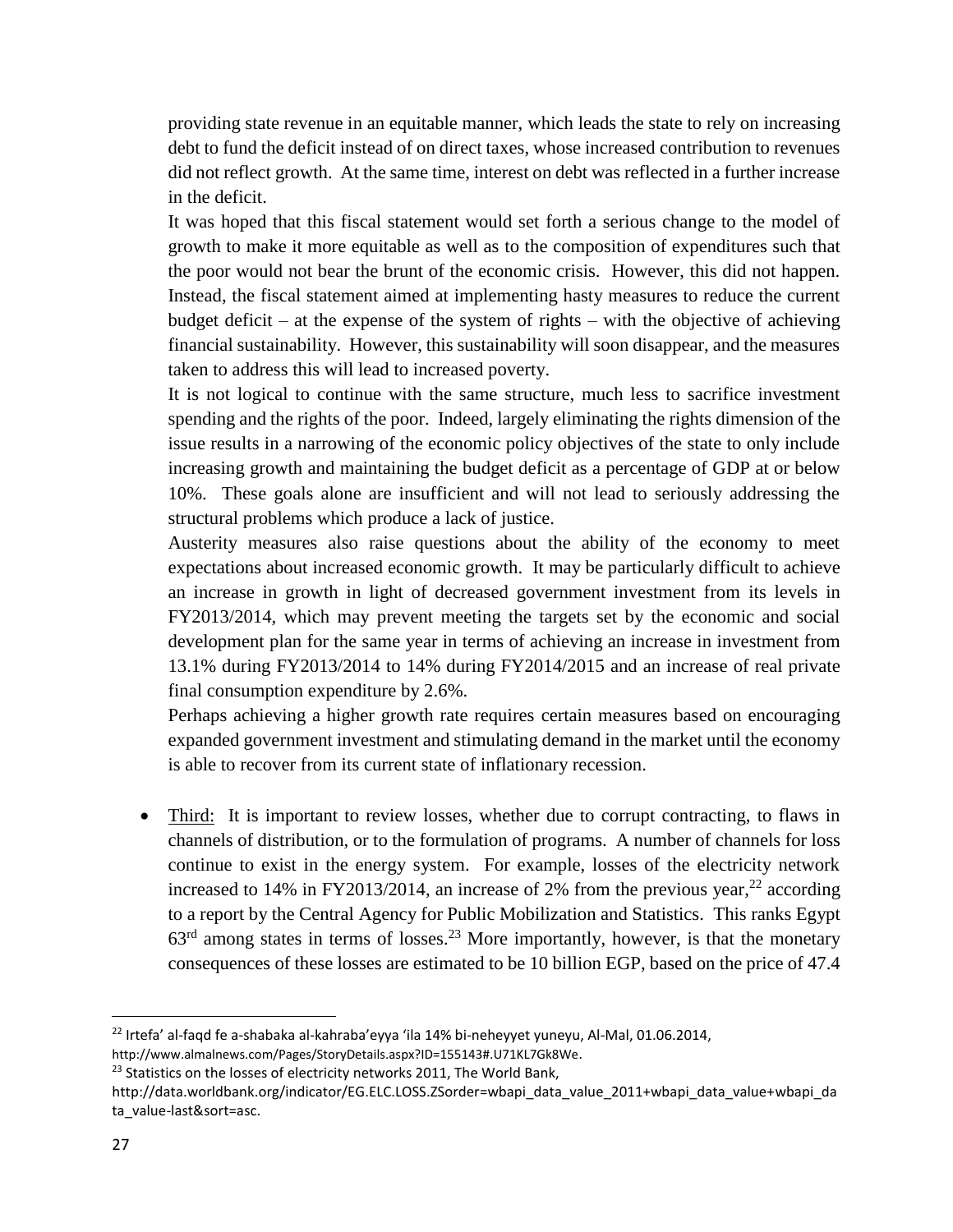providing state revenue in an equitable manner, which leads the state to rely on increasing debt to fund the deficit instead of on direct taxes, whose increased contribution to revenues did not reflect growth. At the same time, interest on debt was reflected in a further increase in the deficit.

It was hoped that this fiscal statement would set forth a serious change to the model of growth to make it more equitable as well as to the composition of expenditures such that the poor would not bear the brunt of the economic crisis. However, this did not happen. Instead, the fiscal statement aimed at implementing hasty measures to reduce the current budget deficit – at the expense of the system of rights – with the objective of achieving financial sustainability. However, this sustainability will soon disappear, and the measures taken to address this will lead to increased poverty.

It is not logical to continue with the same structure, much less to sacrifice investment spending and the rights of the poor. Indeed, largely eliminating the rights dimension of the issue results in a narrowing of the economic policy objectives of the state to only include increasing growth and maintaining the budget deficit as a percentage of GDP at or below 10%. These goals alone are insufficient and will not lead to seriously addressing the structural problems which produce a lack of justice.

Austerity measures also raise questions about the ability of the economy to meet expectations about increased economic growth. It may be particularly difficult to achieve an increase in growth in light of decreased government investment from its levels in FY2013/2014, which may prevent meeting the targets set by the economic and social development plan for the same year in terms of achieving an increase in investment from 13.1% during FY2013/2014 to 14% during FY2014/2015 and an increase of real private final consumption expenditure by 2.6%.

Perhaps achieving a higher growth rate requires certain measures based on encouraging expanded government investment and stimulating demand in the market until the economy is able to recover from its current state of inflationary recession.

 Third: It is important to review losses, whether due to corrupt contracting, to flaws in channels of distribution, or to the formulation of programs. A number of channels for loss continue to exist in the energy system. For example, losses of the electricity network increased to 14% in FY2013/2014, an increase of 2% from the previous year,  $^{22}$  according to a report by the Central Agency for Public Mobilization and Statistics. This ranks Egypt  $63<sup>rd</sup>$  among states in terms of losses.<sup>23</sup> More importantly, however, is that the monetary consequences of these losses are estimated to be 10 billion EGP, based on the price of 47.4

l

<sup>22</sup> Irtefa' al-faqd fe a-shabaka al-kahraba'eyya 'ila 14% bi-neheyyet yuneyu, Al-Mal, 01.06.2014,

<http://www.almalnews.com/Pages/StoryDetails.aspx?ID=155143#.U71KL7Gk8We>.

<sup>&</sup>lt;sup>23</sup> Statistics on the losses of electricity networks 2011, The World Bank,

http://data.worldbank.org/indicator/EG.ELC.LOSS.ZSorder=wbapi\_data\_value\_2011+wbapi\_data\_value+wbapi\_da ta\_value-last&sort=asc.